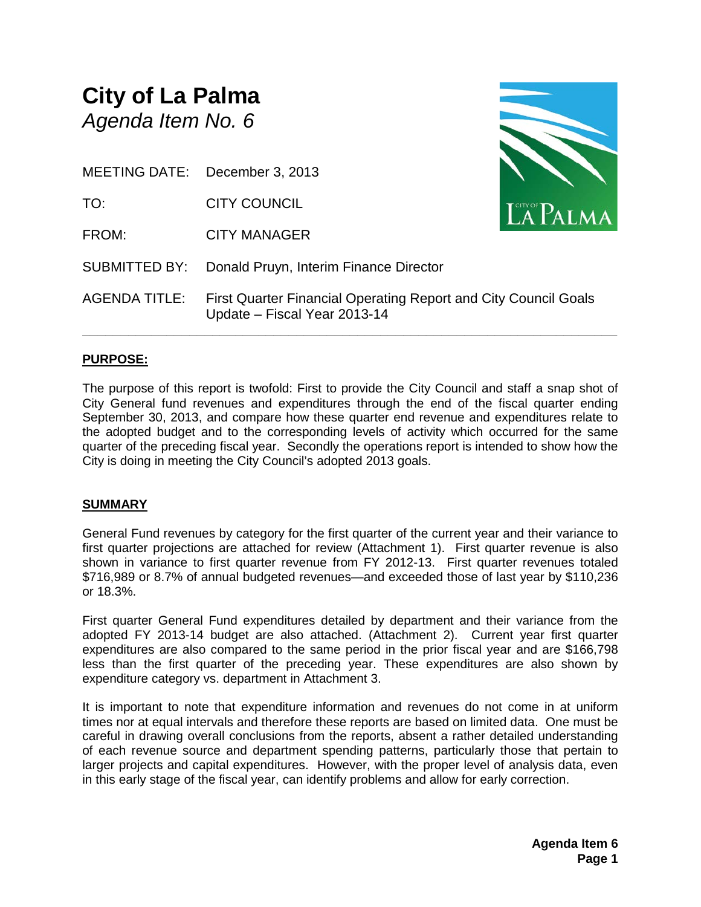## **City of La Palma** *Agenda Item No. 6*

MEETING DATE: December 3, 2013

TO: CITY COUNCIL

FROM: CITY MANAGER

SUBMITTED BY: Donald Pruyn, Interim Finance Director

AGENDA TITLE: First Quarter Financial Operating Report and City Council Goals Update – Fiscal Year 2013-14

**\_\_\_\_\_\_\_\_\_\_\_\_\_\_\_\_\_\_\_\_\_\_\_\_\_\_\_\_\_\_\_\_\_\_\_\_\_\_\_\_\_\_\_\_\_\_\_\_\_\_\_\_\_\_\_\_\_\_\_\_\_\_\_\_\_\_\_\_\_\_**

#### **PURPOSE:**

The purpose of this report is twofold: First to provide the City Council and staff a snap shot of City General fund revenues and expenditures through the end of the fiscal quarter ending September 30, 2013, and compare how these quarter end revenue and expenditures relate to the adopted budget and to the corresponding levels of activity which occurred for the same quarter of the preceding fiscal year. Secondly the operations report is intended to show how the City is doing in meeting the City Council's adopted 2013 goals.

#### **SUMMARY**

General Fund revenues by category for the first quarter of the current year and their variance to first quarter projections are attached for review (Attachment 1). First quarter revenue is also shown in variance to first quarter revenue from FY 2012-13. First quarter revenues totaled \$716,989 or 8.7% of annual budgeted revenues—and exceeded those of last year by \$110,236 or 18.3%.

First quarter General Fund expenditures detailed by department and their variance from the adopted FY 2013-14 budget are also attached. (Attachment 2). Current year first quarter expenditures are also compared to the same period in the prior fiscal year and are \$166,798 less than the first quarter of the preceding year. These expenditures are also shown by expenditure category vs. department in Attachment 3.

It is important to note that expenditure information and revenues do not come in at uniform times nor at equal intervals and therefore these reports are based on limited data. One must be careful in drawing overall conclusions from the reports, absent a rather detailed understanding of each revenue source and department spending patterns, particularly those that pertain to larger projects and capital expenditures. However, with the proper level of analysis data, even in this early stage of the fiscal year, can identify problems and allow for early correction.

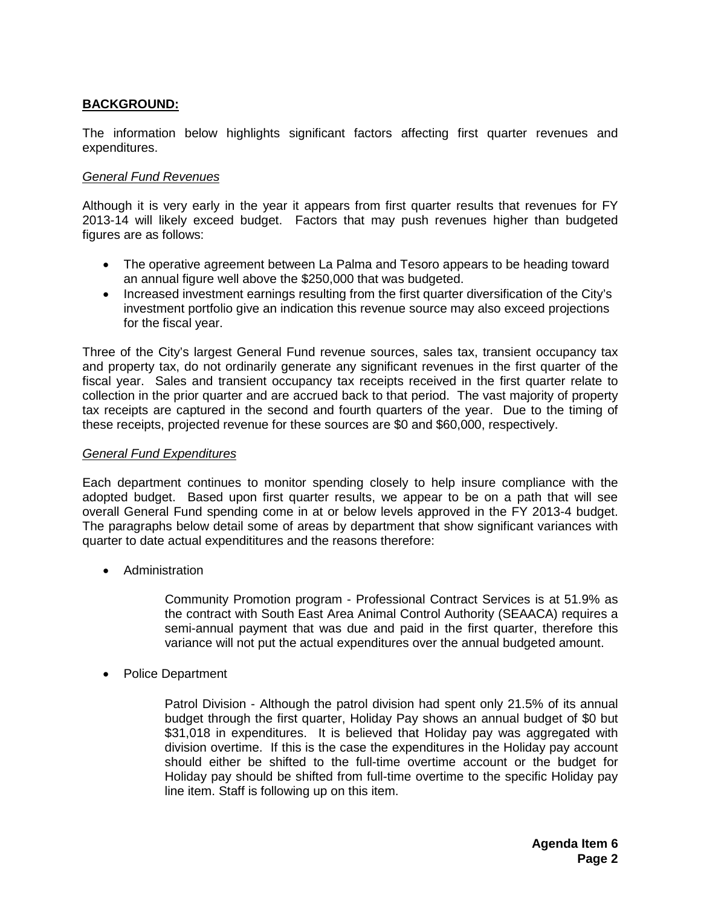#### **BACKGROUND:**

The information below highlights significant factors affecting first quarter revenues and expenditures.

#### *General Fund Revenues*

Although it is very early in the year it appears from first quarter results that revenues for FY 2013-14 will likely exceed budget. Factors that may push revenues higher than budgeted figures are as follows:

- The operative agreement between La Palma and Tesoro appears to be heading toward an annual figure well above the \$250,000 that was budgeted.
- Increased investment earnings resulting from the first quarter diversification of the City's investment portfolio give an indication this revenue source may also exceed projections for the fiscal year.

Three of the City's largest General Fund revenue sources, sales tax, transient occupancy tax and property tax, do not ordinarily generate any significant revenues in the first quarter of the fiscal year. Sales and transient occupancy tax receipts received in the first quarter relate to collection in the prior quarter and are accrued back to that period. The vast majority of property tax receipts are captured in the second and fourth quarters of the year. Due to the timing of these receipts, projected revenue for these sources are \$0 and \$60,000, respectively.

#### *General Fund Expenditures*

Each department continues to monitor spending closely to help insure compliance with the adopted budget. Based upon first quarter results, we appear to be on a path that will see overall General Fund spending come in at or below levels approved in the FY 2013-4 budget. The paragraphs below detail some of areas by department that show significant variances with quarter to date actual expendititures and the reasons therefore:

• Administration

Community Promotion program - Professional Contract Services is at 51.9% as the contract with South East Area Animal Control Authority (SEAACA) requires a semi-annual payment that was due and paid in the first quarter, therefore this variance will not put the actual expenditures over the annual budgeted amount.

• Police Department

Patrol Division - Although the patrol division had spent only 21.5% of its annual budget through the first quarter, Holiday Pay shows an annual budget of \$0 but \$31,018 in expenditures. It is believed that Holiday pay was aggregated with division overtime. If this is the case the expenditures in the Holiday pay account should either be shifted to the full-time overtime account or the budget for Holiday pay should be shifted from full-time overtime to the specific Holiday pay line item. Staff is following up on this item.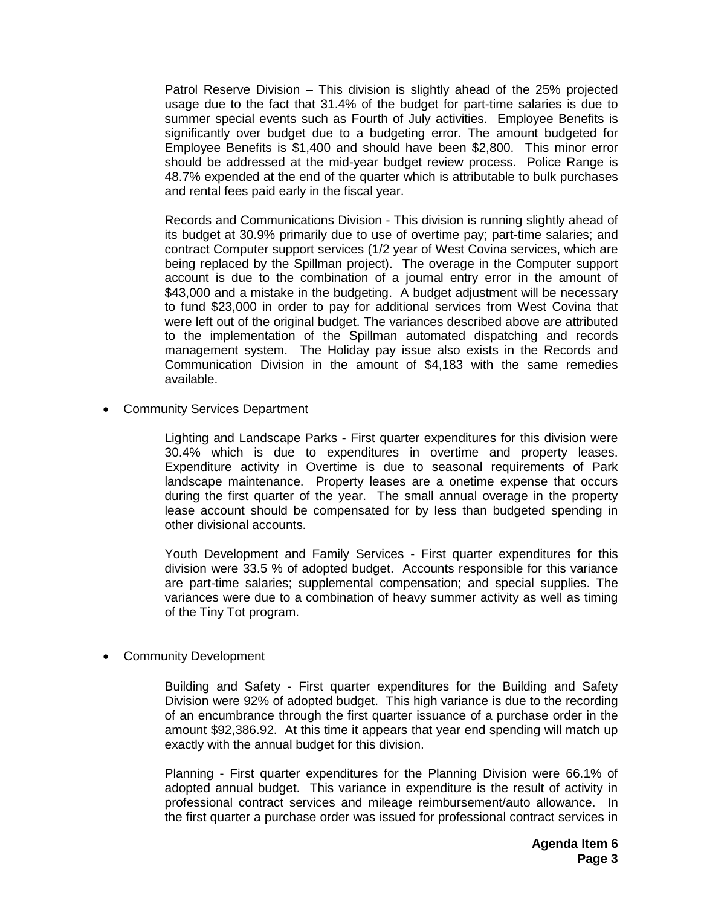Patrol Reserve Division – This division is slightly ahead of the 25% projected usage due to the fact that 31.4% of the budget for part-time salaries is due to summer special events such as Fourth of July activities. Employee Benefits is significantly over budget due to a budgeting error. The amount budgeted for Employee Benefits is \$1,400 and should have been \$2,800. This minor error should be addressed at the mid-year budget review process. Police Range is 48.7% expended at the end of the quarter which is attributable to bulk purchases and rental fees paid early in the fiscal year.

Records and Communications Division - This division is running slightly ahead of its budget at 30.9% primarily due to use of overtime pay; part-time salaries; and contract Computer support services (1/2 year of West Covina services, which are being replaced by the Spillman project). The overage in the Computer support account is due to the combination of a journal entry error in the amount of \$43,000 and a mistake in the budgeting. A budget adjustment will be necessary to fund \$23,000 in order to pay for additional services from West Covina that were left out of the original budget. The variances described above are attributed to the implementation of the Spillman automated dispatching and records management system. The Holiday pay issue also exists in the Records and Communication Division in the amount of \$4,183 with the same remedies available.

• Community Services Department

Lighting and Landscape Parks - First quarter expenditures for this division were 30.4% which is due to expenditures in overtime and property leases. Expenditure activity in Overtime is due to seasonal requirements of Park landscape maintenance. Property leases are a onetime expense that occurs during the first quarter of the year. The small annual overage in the property lease account should be compensated for by less than budgeted spending in other divisional accounts.

Youth Development and Family Services - First quarter expenditures for this division were 33.5 % of adopted budget. Accounts responsible for this variance are part-time salaries; supplemental compensation; and special supplies. The variances were due to a combination of heavy summer activity as well as timing of the Tiny Tot program.

• Community Development

Building and Safety - First quarter expenditures for the Building and Safety Division were 92% of adopted budget. This high variance is due to the recording of an encumbrance through the first quarter issuance of a purchase order in the amount \$92,386.92. At this time it appears that year end spending will match up exactly with the annual budget for this division.

Planning - First quarter expenditures for the Planning Division were 66.1% of adopted annual budget. This variance in expenditure is the result of activity in professional contract services and mileage reimbursement/auto allowance. In the first quarter a purchase order was issued for professional contract services in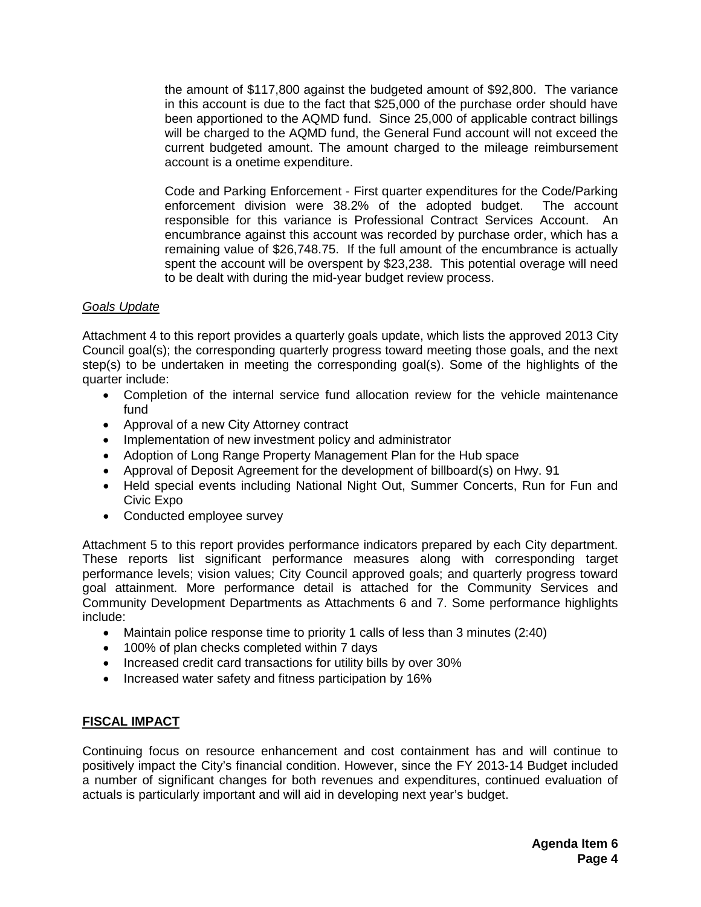the amount of \$117,800 against the budgeted amount of \$92,800. The variance in this account is due to the fact that \$25,000 of the purchase order should have been apportioned to the AQMD fund. Since 25,000 of applicable contract billings will be charged to the AQMD fund, the General Fund account will not exceed the current budgeted amount. The amount charged to the mileage reimbursement account is a onetime expenditure.

Code and Parking Enforcement - First quarter expenditures for the Code/Parking enforcement division were 38.2% of the adopted budget. The account responsible for this variance is Professional Contract Services Account. An encumbrance against this account was recorded by purchase order, which has a remaining value of \$26,748.75. If the full amount of the encumbrance is actually spent the account will be overspent by \$23,238. This potential overage will need to be dealt with during the mid-year budget review process.

#### *Goals Update*

Attachment 4 to this report provides a quarterly goals update, which lists the approved 2013 City Council goal(s); the corresponding quarterly progress toward meeting those goals, and the next step(s) to be undertaken in meeting the corresponding goal(s). Some of the highlights of the quarter include:

- Completion of the internal service fund allocation review for the vehicle maintenance fund
- Approval of a new City Attorney contract
- Implementation of new investment policy and administrator
- Adoption of Long Range Property Management Plan for the Hub space
- Approval of Deposit Agreement for the development of billboard(s) on Hwy. 91
- Held special events including National Night Out, Summer Concerts, Run for Fun and Civic Expo
- Conducted employee survey

Attachment 5 to this report provides performance indicators prepared by each City department. These reports list significant performance measures along with corresponding target performance levels; vision values; City Council approved goals; and quarterly progress toward goal attainment. More performance detail is attached for the Community Services and Community Development Departments as Attachments 6 and 7. Some performance highlights include:

- Maintain police response time to priority 1 calls of less than 3 minutes (2:40)
- 100% of plan checks completed within 7 days
- Increased credit card transactions for utility bills by over 30%
- Increased water safety and fitness participation by 16%

#### **FISCAL IMPACT**

Continuing focus on resource enhancement and cost containment has and will continue to positively impact the City's financial condition. However, since the FY 2013-14 Budget included a number of significant changes for both revenues and expenditures, continued evaluation of actuals is particularly important and will aid in developing next year's budget.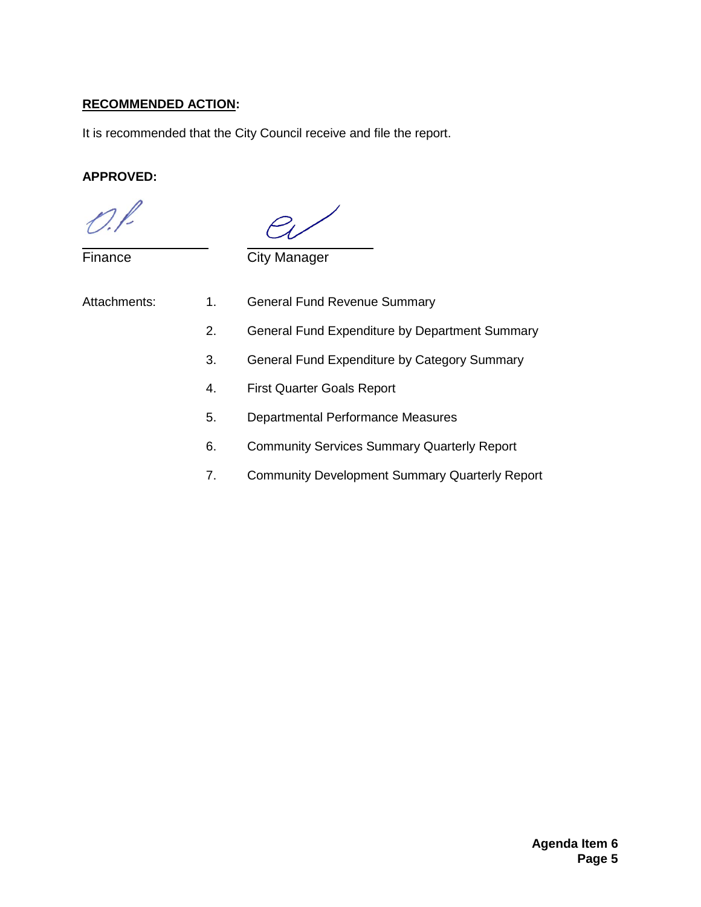#### **RECOMMENDED ACTION:**

It is recommended that the City Council receive and file the report.

#### **APPROVED:**

**Finance** 

City Manager

| Attachments: | 1. | <b>General Fund Revenue Summary</b>            |
|--------------|----|------------------------------------------------|
|              | 2. | General Fund Expenditure by Department Summary |
|              | З. | General Fund Expenditure by Category Summary   |
|              | 4. | <b>First Quarter Goals Report</b>              |
|              | 5. | Departmental Performance Measures              |
|              |    |                                                |

- 6. Community Services Summary Quarterly Report
- 7. Community Development Summary Quarterly Report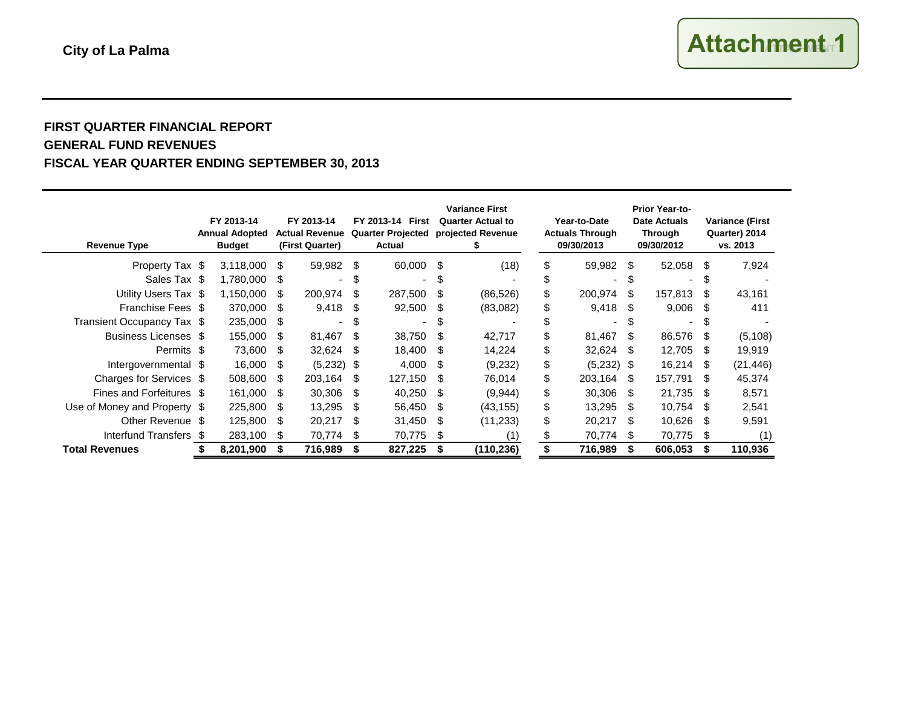#### **FIRST QUARTER FINANCIAL REPORT GENERAL FUND REVENUES FISCAL YEAR QUARTER ENDING SEPTEMBER 30, 2013**

| <b>Revenue Type</b>          | FY 2013-14<br><b>Annual Adopted</b><br><b>Budget</b> |           | FY 2013-14<br><b>Actual Revenue</b><br>(First Quarter) |                          | FY 2013-14 First<br><b>Quarter Projected</b><br>Actual | <b>Variance First</b><br><b>Quarter Actual to</b><br>projected Revenue |      | Year-to-Date<br><b>Actuals Through</b><br>09/30/2013 |    | Prior Year-to-<br>Date Actuals<br><b>Through</b><br>09/30/2012 |      | <b>Variance (First</b><br>Quarter) 2014<br>vs. 2013 |      |           |
|------------------------------|------------------------------------------------------|-----------|--------------------------------------------------------|--------------------------|--------------------------------------------------------|------------------------------------------------------------------------|------|------------------------------------------------------|----|----------------------------------------------------------------|------|-----------------------------------------------------|------|-----------|
| Property Tax \$              |                                                      | 3,118,000 | \$                                                     | 59,982                   | - \$                                                   | 60,000 \$                                                              |      | (18)                                                 | \$ | 59,982                                                         | -S   | 52,058                                              | - \$ | 7,924     |
| Sales Tax \$                 |                                                      | 1,780,000 | - \$                                                   |                          | \$                                                     | ۰.                                                                     | S    |                                                      | S  |                                                                |      | $\overline{\phantom{0}}$                            | S    |           |
| Utility Users Tax \$         |                                                      | 1,150,000 | \$.                                                    | 200,974                  | -S                                                     | 287,500                                                                | - \$ | (86, 526)                                            | \$ | 200.974                                                        | S.   | 157,813                                             | -SS  | 43,161    |
| Franchise Fees \$            |                                                      | 370,000   | - \$                                                   | 9,418                    | - \$                                                   | 92,500                                                                 | - \$ | (83,082)                                             | \$ | 9,418                                                          | - S  | 9,006                                               | -SS  | 411       |
| Transient Occupancy Tax \$   |                                                      | 235,000   | - \$                                                   | $\overline{\phantom{0}}$ | \$.                                                    | ۰.                                                                     | S.   |                                                      |    |                                                                | \$.  | $\overline{\phantom{0}}$                            | £.   |           |
| Business Licenses \$         |                                                      | 155,000   | - \$                                                   | 81,467                   | -S                                                     | 38,750                                                                 | S    | 42,717                                               | \$ | 81,467                                                         | \$.  | 86,576                                              | S    | (5, 108)  |
| Permits \$                   |                                                      | 73,600    | - \$                                                   | 32,624                   | -S                                                     | 18,400                                                                 | \$.  | 14,224                                               | \$ | 32,624                                                         | \$.  | 12,705                                              | - \$ | 19,919    |
| Intergovernmental \$         |                                                      | 16,000    | - \$                                                   | (5,232)                  | - \$                                                   | 4,000                                                                  | S    | (9,232)                                              | \$ | (5,232)                                                        | - \$ | 16,214                                              | - \$ | (21, 446) |
| Charges for Services \$      |                                                      | 508,600   | \$.                                                    | 203,164                  | -S                                                     | 127,150                                                                | \$.  | 76,014                                               | \$ | 203,164                                                        | S    | 157,791                                             | -SS  | 45,374    |
| Fines and Forfeitures \$     |                                                      | 161,000   | -S                                                     | 30,306                   | -S                                                     | 40,250                                                                 | S    | (9,944)                                              | \$ | 30.306                                                         | \$.  | 21,735                                              | -SS  | 8,571     |
| Use of Money and Property \$ |                                                      | 225,800   | -S                                                     | 13,295                   | -S                                                     | 56,450                                                                 | - \$ | (43, 155)                                            | \$ | 13.295                                                         | \$.  | 10,754                                              | -SS  | 2,541     |
| Other Revenue \$             |                                                      | 125,800   | -S                                                     | 20,217                   | ß.                                                     | 31,450                                                                 | - \$ | (11,233)                                             | \$ | 20.217                                                         | \$.  | 10,626                                              | -S   | 9,591     |
| Interfund Transfers \$       |                                                      | 283,100   | -S                                                     | 70,774                   | -S                                                     | 70,775                                                                 | - \$ |                                                      |    | 70,774                                                         | - S  | 70,775                                              | -S   |           |
| <b>Total Revenues</b>        |                                                      | 8,201,900 |                                                        | 716,989                  | S                                                      | 827,225                                                                |      | (110, 236)                                           |    | 716,989                                                        | S    | 606,053                                             |      | 110,936   |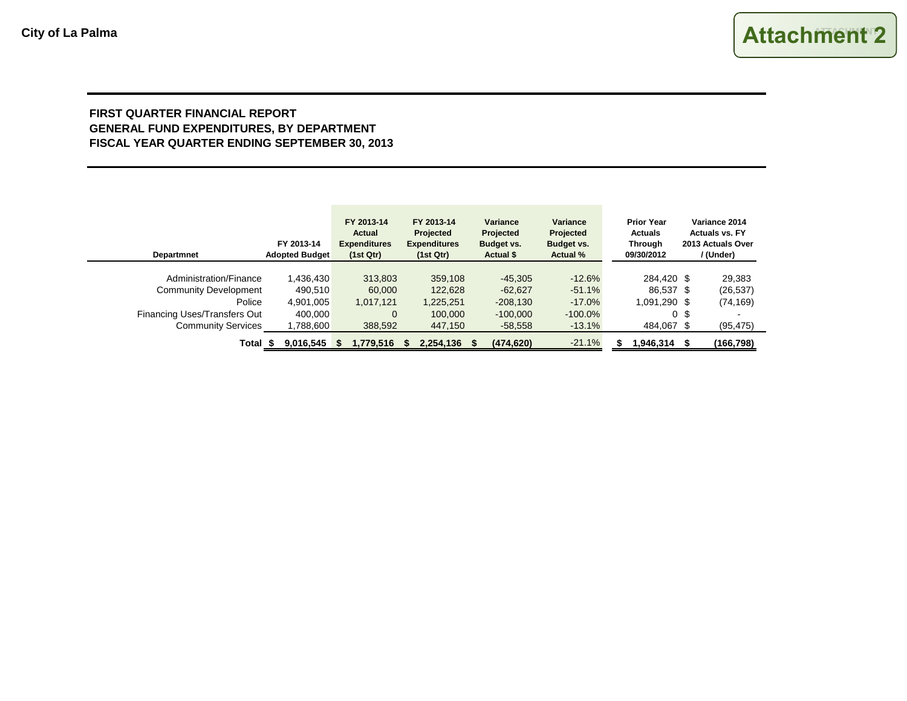#### **FIRST QUARTER FINANCIAL REPORT GENERAL FUND EXPENDITURES, BY DEPARTMENT FISCAL YEAR QUARTER ENDING SEPTEMBER 30, 2013**

| <b>Departmnet</b>            | FY 2013-14<br><b>Adopted Budget</b> | FY 2013-14<br>Actual<br><b>Expenditures</b><br>(1st Qtr) | FY 2013-14<br>Projected<br><b>Expenditures</b><br>(1st Qtr) | <b>Variance</b><br>Projected<br>Budget vs.<br><b>Actual \$</b> | Variance<br>Projected<br>Budget vs.<br><b>Actual %</b> | <b>Prior Year</b><br><b>Actuals</b><br><b>Through</b><br>09/30/2012 | Variance 2014<br><b>Actuals vs. FY</b><br>2013 Actuals Over<br>/ (Under) |
|------------------------------|-------------------------------------|----------------------------------------------------------|-------------------------------------------------------------|----------------------------------------------------------------|--------------------------------------------------------|---------------------------------------------------------------------|--------------------------------------------------------------------------|
| Administration/Finance       | 1,436,430                           | 313,803                                                  | 359,108                                                     | $-45,305$                                                      | $-12.6%$                                               | 284.420 \$                                                          | 29,383                                                                   |
| <b>Community Development</b> | 490.510                             | 60,000                                                   | 122,628                                                     | $-62,627$                                                      | $-51.1%$                                               | 86,537 \$                                                           | (26, 537)                                                                |
| Police                       | 4,901,005                           | 1,017,121                                                | 1,225,251                                                   | $-208,130$                                                     | $-17.0\%$                                              | 1,091,290 \$                                                        | (74, 169)                                                                |
| Financing Uses/Transfers Out | 400.000                             | $\Omega$                                                 | 100,000                                                     | $-100,000$                                                     | $-100.0\%$                                             |                                                                     | 0 \$                                                                     |
| <b>Community Services</b>    | 1,788,600                           | 388,592                                                  | 447,150                                                     | $-58,558$                                                      | $-13.1%$                                               | 484,067 \$                                                          | (95, 475)                                                                |
| Total                        | 9,016,545                           | 1,779,516                                                | 2,254,136<br>- \$                                           | (474, 620)                                                     | $-21.1%$                                               | 1,946,314                                                           | (166, 798)                                                               |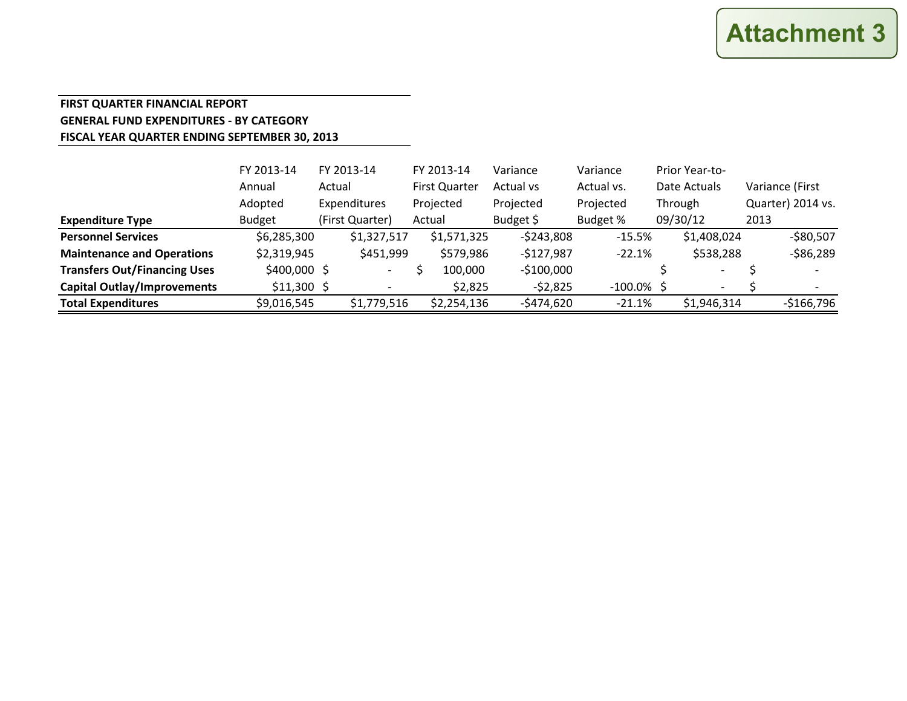#### **FIRST QUARTER FINANCIAL REPORT GENERAL FUND EXPENDITURES - BY CATEGORY FISCAL YEAR QUARTER ENDING SEPTEMBER 30, 2013**

|                                     | FY 2013-14    |        | FY 2013-14               | FY 2013-14           | Variance    | Variance      | Prior Year-to-           |      |                   |
|-------------------------------------|---------------|--------|--------------------------|----------------------|-------------|---------------|--------------------------|------|-------------------|
|                                     | Annual        | Actual |                          | <b>First Quarter</b> | Actual vs   | Actual vs.    | Date Actuals             |      | Variance (First   |
|                                     | Adopted       |        | Expenditures             | Projected            | Projected   | Projected     | Through                  |      | Quarter) 2014 vs. |
| <b>Expenditure Type</b>             | <b>Budget</b> |        | (First Quarter)          | Actual               | Budget \$   | Budget %      | 09/30/12                 | 2013 |                   |
| <b>Personnel Services</b>           | \$6,285,300   |        | \$1,327,517              | \$1,571,325          | $-5243,808$ | $-15.5%$      | \$1,408,024              |      | $-$80,507$        |
| <b>Maintenance and Operations</b>   | \$2,319,945   |        | \$451,999                | \$579,986            | $-$127,987$ | $-22.1%$      | \$538,288                |      | $-586,289$        |
| <b>Transfers Out/Financing Uses</b> | $$400,000$ \$ |        | $\overline{\phantom{0}}$ | 100,000              | $-$100,000$ |               | $\overline{\phantom{a}}$ |      |                   |
| <b>Capital Outlay/Improvements</b>  | $$11,300$ \$  |        |                          | \$2,825              | $-52,825$   | $-100.0\%$ \$ | $\overline{\phantom{0}}$ |      |                   |
| <b>Total Expenditures</b>           | \$9,016,545   |        | \$1,779,516              | \$2,254,136          | $-5474,620$ | $-21.1%$      | \$1,946,314              |      | $-$166,796$       |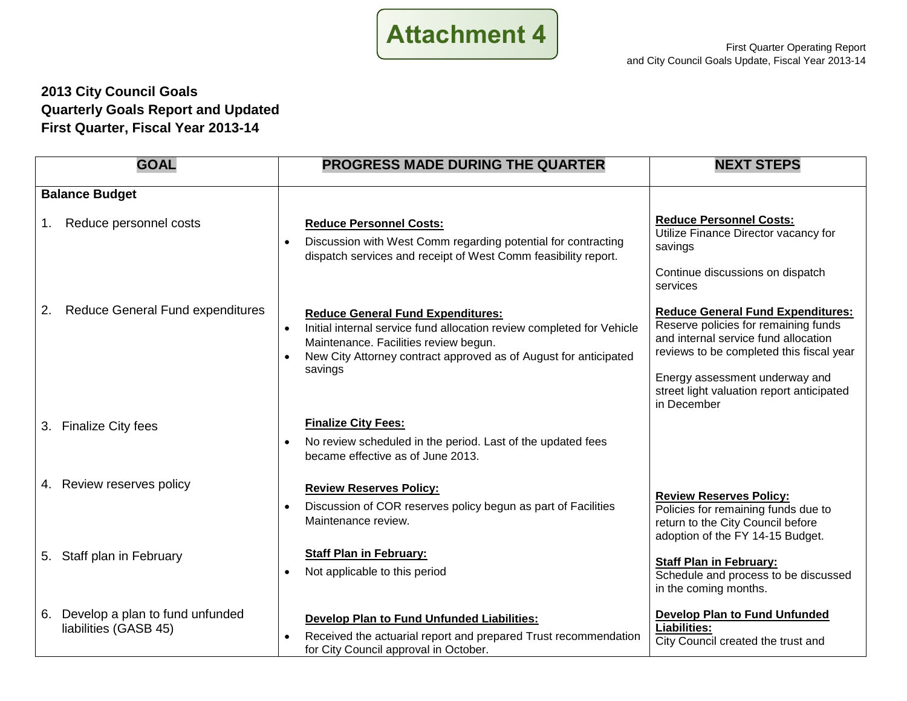

#### **2013 City Council Goals Quarterly Goals Report and Updated First Quarter, Fiscal Year 2013-14**

| <b>GOAL</b>                                                    | <b>PROGRESS MADE DURING THE QUARTER</b>                                                                                                                                                                                                                | <b>NEXT STEPS</b>                                                                                                                                                                                                                                                  |
|----------------------------------------------------------------|--------------------------------------------------------------------------------------------------------------------------------------------------------------------------------------------------------------------------------------------------------|--------------------------------------------------------------------------------------------------------------------------------------------------------------------------------------------------------------------------------------------------------------------|
| <b>Balance Budget</b><br>Reduce personnel costs<br>1.          | <b>Reduce Personnel Costs:</b>                                                                                                                                                                                                                         | <b>Reduce Personnel Costs:</b>                                                                                                                                                                                                                                     |
|                                                                | Discussion with West Comm regarding potential for contracting<br>dispatch services and receipt of West Comm feasibility report.                                                                                                                        | Utilize Finance Director vacancy for<br>savings<br>Continue discussions on dispatch<br>services                                                                                                                                                                    |
| <b>Reduce General Fund expenditures</b><br>2.                  | <b>Reduce General Fund Expenditures:</b><br>Initial internal service fund allocation review completed for Vehicle<br>$\bullet$<br>Maintenance. Facilities review begun.<br>New City Attorney contract approved as of August for anticipated<br>savings | <b>Reduce General Fund Expenditures:</b><br>Reserve policies for remaining funds<br>and internal service fund allocation<br>reviews to be completed this fiscal year<br>Energy assessment underway and<br>street light valuation report anticipated<br>in December |
| <b>Finalize City fees</b><br>3.                                | <b>Finalize City Fees:</b><br>No review scheduled in the period. Last of the updated fees<br>became effective as of June 2013.                                                                                                                         |                                                                                                                                                                                                                                                                    |
| 4. Review reserves policy                                      | <b>Review Reserves Policy:</b><br>Discussion of COR reserves policy begun as part of Facilities<br>$\bullet$<br>Maintenance review.                                                                                                                    | <b>Review Reserves Policy:</b><br>Policies for remaining funds due to<br>return to the City Council before<br>adoption of the FY 14-15 Budget.                                                                                                                     |
| 5. Staff plan in February                                      | <b>Staff Plan in February:</b><br>Not applicable to this period<br>$\bullet$                                                                                                                                                                           | <b>Staff Plan in February:</b><br>Schedule and process to be discussed<br>in the coming months.                                                                                                                                                                    |
| Develop a plan to fund unfunded<br>6.<br>liabilities (GASB 45) | Develop Plan to Fund Unfunded Liabilities:<br>Received the actuarial report and prepared Trust recommendation<br>$\bullet$<br>for City Council approval in October.                                                                                    | <b>Develop Plan to Fund Unfunded</b><br>Liabilities:<br>City Council created the trust and                                                                                                                                                                         |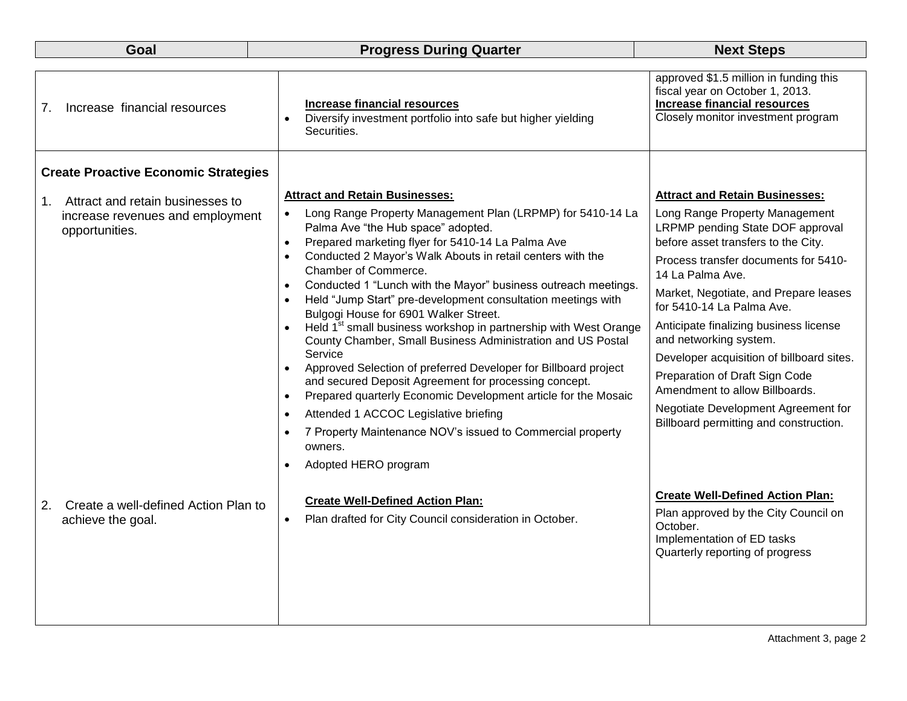| Goal                                                                                         | <b>Progress During Quarter</b>                                                                                                                                                                                                                                                                                                                                                                                                                                                                                                                                                                                                                                                                                                                                                                                                                                                                                                                                                                                                                                            | <b>Next Steps</b>                                                                                                                                                                                                                                                                                                                                                                                                                                                                                                                                          |
|----------------------------------------------------------------------------------------------|---------------------------------------------------------------------------------------------------------------------------------------------------------------------------------------------------------------------------------------------------------------------------------------------------------------------------------------------------------------------------------------------------------------------------------------------------------------------------------------------------------------------------------------------------------------------------------------------------------------------------------------------------------------------------------------------------------------------------------------------------------------------------------------------------------------------------------------------------------------------------------------------------------------------------------------------------------------------------------------------------------------------------------------------------------------------------|------------------------------------------------------------------------------------------------------------------------------------------------------------------------------------------------------------------------------------------------------------------------------------------------------------------------------------------------------------------------------------------------------------------------------------------------------------------------------------------------------------------------------------------------------------|
| Increase financial resources<br>7.                                                           | <b>Increase financial resources</b><br>Diversify investment portfolio into safe but higher yielding<br>$\bullet$<br>Securities.                                                                                                                                                                                                                                                                                                                                                                                                                                                                                                                                                                                                                                                                                                                                                                                                                                                                                                                                           | approved \$1.5 million in funding this<br>fiscal year on October 1, 2013.<br><b>Increase financial resources</b><br>Closely monitor investment program                                                                                                                                                                                                                                                                                                                                                                                                     |
| <b>Create Proactive Economic Strategies</b>                                                  |                                                                                                                                                                                                                                                                                                                                                                                                                                                                                                                                                                                                                                                                                                                                                                                                                                                                                                                                                                                                                                                                           |                                                                                                                                                                                                                                                                                                                                                                                                                                                                                                                                                            |
| Attract and retain businesses to<br>1.<br>increase revenues and employment<br>opportunities. | <b>Attract and Retain Businesses:</b><br>Long Range Property Management Plan (LRPMP) for 5410-14 La<br>$\bullet$<br>Palma Ave "the Hub space" adopted.<br>Prepared marketing flyer for 5410-14 La Palma Ave<br>$\bullet$<br>Conducted 2 Mayor's Walk Abouts in retail centers with the<br>$\bullet$<br>Chamber of Commerce.<br>Conducted 1 "Lunch with the Mayor" business outreach meetings.<br>$\bullet$<br>Held "Jump Start" pre-development consultation meetings with<br>Bulgogi House for 6901 Walker Street.<br>Held 1 <sup>st</sup> small business workshop in partnership with West Orange<br>County Chamber, Small Business Administration and US Postal<br>Service<br>Approved Selection of preferred Developer for Billboard project<br>$\bullet$<br>and secured Deposit Agreement for processing concept.<br>Prepared quarterly Economic Development article for the Mosaic<br>$\bullet$<br>Attended 1 ACCOC Legislative briefing<br>$\bullet$<br>7 Property Maintenance NOV's issued to Commercial property<br>owners.<br>Adopted HERO program<br>$\bullet$ | <b>Attract and Retain Businesses:</b><br>Long Range Property Management<br>LRPMP pending State DOF approval<br>before asset transfers to the City.<br>Process transfer documents for 5410-<br>14 La Palma Ave.<br>Market, Negotiate, and Prepare leases<br>for 5410-14 La Palma Ave.<br>Anticipate finalizing business license<br>and networking system.<br>Developer acquisition of billboard sites.<br>Preparation of Draft Sign Code<br>Amendment to allow Billboards.<br>Negotiate Development Agreement for<br>Billboard permitting and construction. |
| Create a well-defined Action Plan to<br>2.<br>achieve the goal.                              | <b>Create Well-Defined Action Plan:</b><br>Plan drafted for City Council consideration in October.<br>$\bullet$                                                                                                                                                                                                                                                                                                                                                                                                                                                                                                                                                                                                                                                                                                                                                                                                                                                                                                                                                           | <b>Create Well-Defined Action Plan:</b><br>Plan approved by the City Council on<br>October.<br>Implementation of ED tasks<br>Quarterly reporting of progress                                                                                                                                                                                                                                                                                                                                                                                               |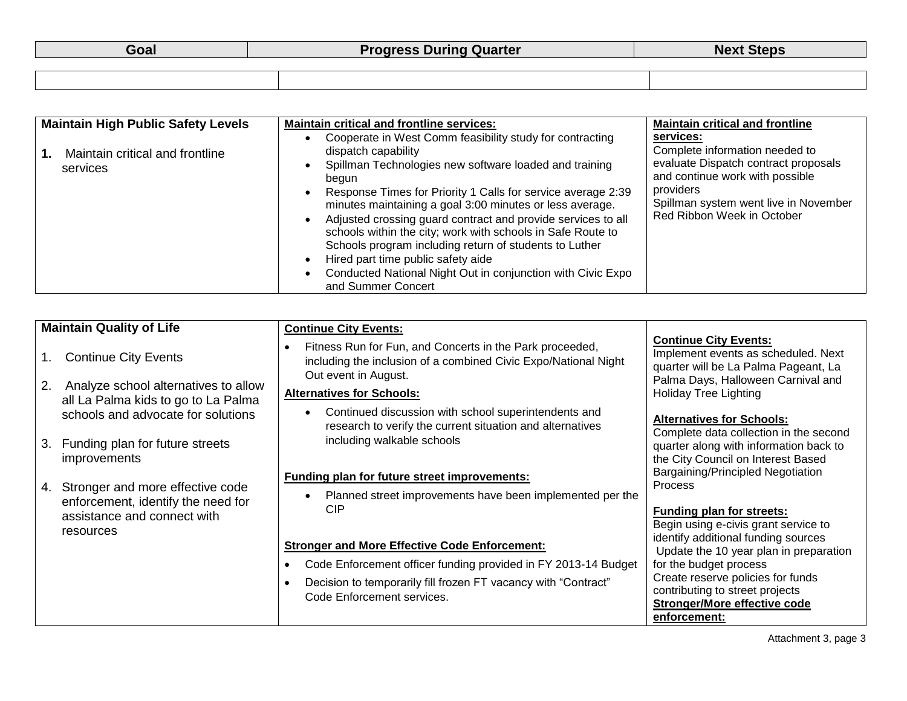| <b>Maintain High Public Safety Levels</b>   | <b>Maintain critical and frontline services:</b>                                                                                                                                                                                                                                                                                                                                                                                                                                                                                                                                                   | <b>Maintain critical and frontline</b>                                                                                                                                                                     |
|---------------------------------------------|----------------------------------------------------------------------------------------------------------------------------------------------------------------------------------------------------------------------------------------------------------------------------------------------------------------------------------------------------------------------------------------------------------------------------------------------------------------------------------------------------------------------------------------------------------------------------------------------------|------------------------------------------------------------------------------------------------------------------------------------------------------------------------------------------------------------|
| Maintain critical and frontline<br>services | Cooperate in West Comm feasibility study for contracting<br>dispatch capability<br>Spillman Technologies new software loaded and training<br>begun<br>Response Times for Priority 1 Calls for service average 2:39<br>minutes maintaining a goal 3:00 minutes or less average.<br>Adjusted crossing guard contract and provide services to all<br>schools within the city; work with schools in Safe Route to<br>Schools program including return of students to Luther<br>Hired part time public safety aide<br>Conducted National Night Out in conjunction with Civic Expo<br>and Summer Concert | services:<br>Complete information needed to<br>evaluate Dispatch contract proposals<br>and continue work with possible<br>providers<br>Spillman system went live in November<br>Red Ribbon Week in October |

| $\mathbf{1}$ . | <b>Maintain Quality of Life</b><br><b>Continue City Events</b>            | <b>Continue City Events:</b><br>Fitness Run for Fun, and Concerts in the Park proceeded,<br>including the inclusion of a combined Civic Expo/National Night<br>Out event in August. | <b>Continue City Events:</b><br>Implement events as scheduled. Next<br>quarter will be La Palma Pageant, La<br>Palma Days, Halloween Carnival and |
|----------------|---------------------------------------------------------------------------|-------------------------------------------------------------------------------------------------------------------------------------------------------------------------------------|---------------------------------------------------------------------------------------------------------------------------------------------------|
| 2.             | Analyze school alternatives to allow                                      | <b>Alternatives for Schools:</b>                                                                                                                                                    | <b>Holiday Tree Lighting</b>                                                                                                                      |
|                | all La Palma kids to go to La Palma<br>schools and advocate for solutions | Continued discussion with school superintendents and<br>research to verify the current situation and alternatives                                                                   | <b>Alternatives for Schools:</b><br>Complete data collection in the second                                                                        |
| 3.             | Funding plan for future streets<br>improvements                           | including walkable schools                                                                                                                                                          | quarter along with information back to<br>the City Council on Interest Based                                                                      |
| 4.             | Stronger and more effective code<br>enforcement, identify the need for    | <b>Funding plan for future street improvements:</b><br>Planned street improvements have been implemented per the                                                                    | Bargaining/Principled Negotiation<br><b>Process</b>                                                                                               |
|                | assistance and connect with<br>resources                                  | <b>CIP</b>                                                                                                                                                                          | <b>Funding plan for streets:</b><br>Begin using e-civis grant service to                                                                          |
|                |                                                                           | <b>Stronger and More Effective Code Enforcement:</b>                                                                                                                                | identify additional funding sources<br>Update the 10 year plan in preparation                                                                     |
|                |                                                                           | Code Enforcement officer funding provided in FY 2013-14 Budget                                                                                                                      | for the budget process                                                                                                                            |
|                |                                                                           | Decision to temporarily fill frozen FT vacancy with "Contract"<br>Code Enforcement services.                                                                                        | Create reserve policies for funds<br>contributing to street projects<br><b>Stronger/More effective code</b><br>enforcement:                       |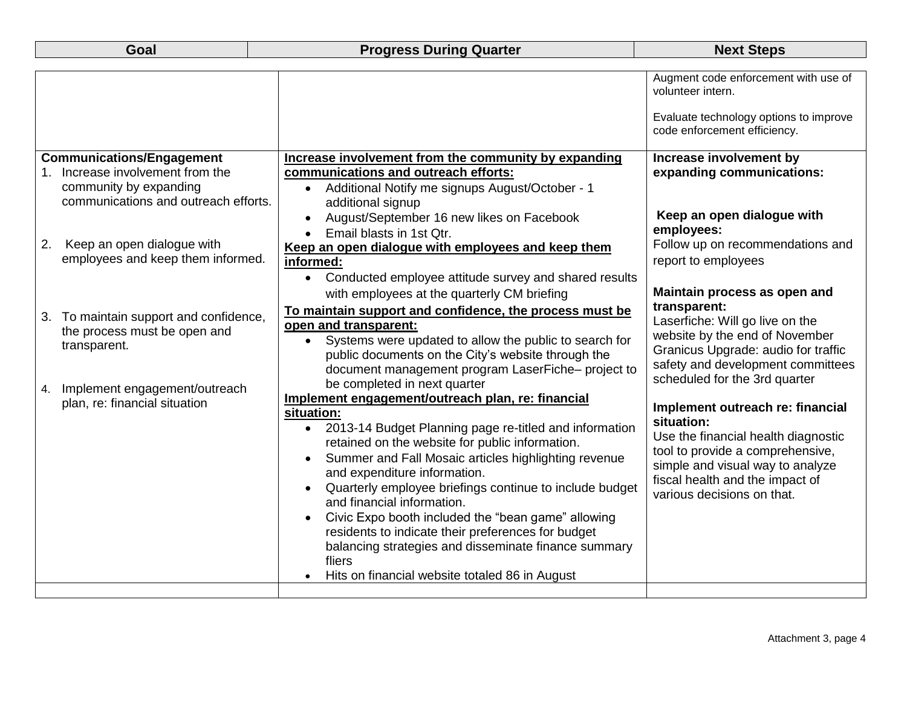#### **Progress During Quarter Next Steps**

|    |                                      |                                                                      | Augment code enforcement with use of<br>volunteer intern.              |
|----|--------------------------------------|----------------------------------------------------------------------|------------------------------------------------------------------------|
|    |                                      |                                                                      | Evaluate technology options to improve<br>code enforcement efficiency. |
|    | <b>Communications/Engagement</b>     | Increase involvement from the community by expanding                 | Increase involvement by                                                |
|    | Increase involvement from the        | communications and outreach efforts:                                 | expanding communications:                                              |
|    | community by expanding               | Additional Notify me signups August/October - 1<br>$\bullet$         |                                                                        |
|    | communications and outreach efforts. | additional signup                                                    |                                                                        |
|    |                                      | August/September 16 new likes on Facebook<br>$\bullet$               | Keep an open dialogue with                                             |
|    |                                      | Email blasts in 1st Qtr.                                             | employees:                                                             |
| 2. | Keep an open dialogue with           | Keep an open dialogue with employees and keep them                   | Follow up on recommendations and                                       |
|    | employees and keep them informed.    | informed:                                                            | report to employees                                                    |
|    |                                      | Conducted employee attitude survey and shared results<br>$\bullet$   |                                                                        |
|    |                                      | with employees at the quarterly CM briefing                          | Maintain process as open and                                           |
| 3. | To maintain support and confidence,  | To maintain support and confidence, the process must be              | transparent:                                                           |
|    | the process must be open and         | open and transparent:                                                | Laserfiche: Will go live on the<br>website by the end of November      |
|    | transparent.                         | Systems were updated to allow the public to search for<br>$\bullet$  | Granicus Upgrade: audio for traffic                                    |
|    |                                      | public documents on the City's website through the                   | safety and development committees                                      |
|    |                                      | document management program LaserFiche- project to                   | scheduled for the 3rd quarter                                          |
| 4. | Implement engagement/outreach        | be completed in next quarter                                         |                                                                        |
|    | plan, re: financial situation        | Implement engagement/outreach plan, re: financial<br>situation:      | Implement outreach re: financial                                       |
|    |                                      | • 2013-14 Budget Planning page re-titled and information             | situation:                                                             |
|    |                                      | retained on the website for public information.                      | Use the financial health diagnostic                                    |
|    |                                      | Summer and Fall Mosaic articles highlighting revenue<br>$\bullet$    | tool to provide a comprehensive,                                       |
|    |                                      | and expenditure information.                                         | simple and visual way to analyze                                       |
|    |                                      | Quarterly employee briefings continue to include budget<br>$\bullet$ | fiscal health and the impact of                                        |
|    |                                      | and financial information.                                           | various decisions on that.                                             |
|    |                                      | Civic Expo booth included the "bean game" allowing                   |                                                                        |
|    |                                      | residents to indicate their preferences for budget                   |                                                                        |
|    |                                      | balancing strategies and disseminate finance summary                 |                                                                        |
|    |                                      | fliers                                                               |                                                                        |
|    |                                      | Hits on financial website totaled 86 in August                       |                                                                        |
|    |                                      |                                                                      |                                                                        |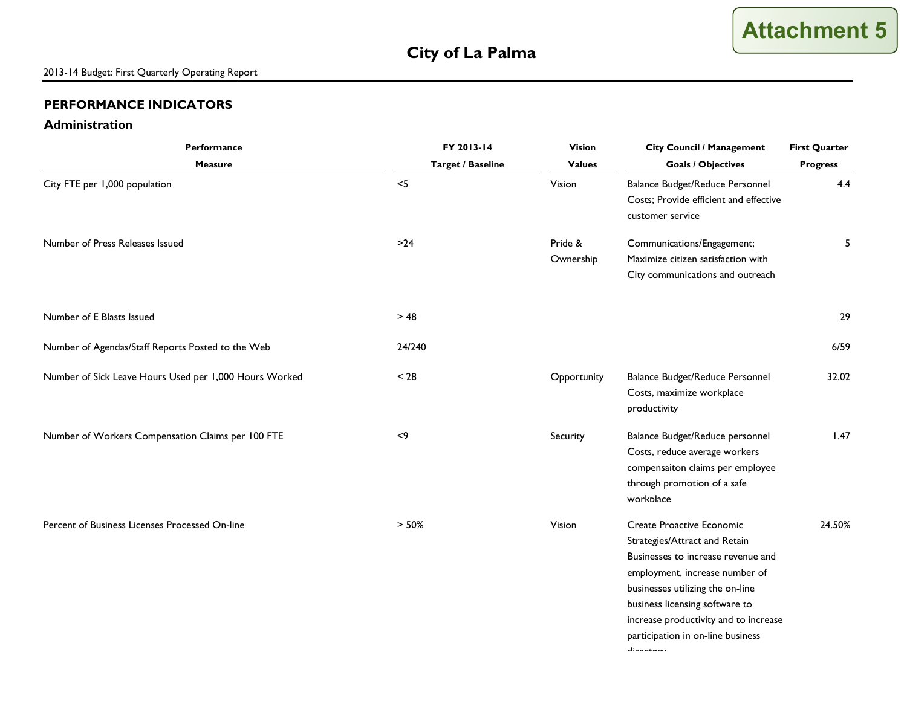#### **Administration**

| Performance                                            | FY 2013-14               | <b>Vision</b>        | <b>City Council / Management</b>                                                                                                                                                                                                                                                                                    | <b>First Quarter</b> |
|--------------------------------------------------------|--------------------------|----------------------|---------------------------------------------------------------------------------------------------------------------------------------------------------------------------------------------------------------------------------------------------------------------------------------------------------------------|----------------------|
| <b>Measure</b>                                         | <b>Target / Baseline</b> | <b>Values</b>        | <b>Goals / Objectives</b>                                                                                                                                                                                                                                                                                           | <b>Progress</b>      |
| City FTE per 1,000 population                          | $<$ 5                    | Vision               | Balance Budget/Reduce Personnel<br>Costs; Provide efficient and effective<br>customer service                                                                                                                                                                                                                       | 4.4                  |
| Number of Press Releases Issued                        | $>24$                    | Pride &<br>Ownership | Communications/Engagement;<br>Maximize citizen satisfaction with<br>City communications and outreach                                                                                                                                                                                                                | 5                    |
| Number of E Blasts Issued                              | > 48                     |                      |                                                                                                                                                                                                                                                                                                                     | 29                   |
| Number of Agendas/Staff Reports Posted to the Web      | 24/240                   |                      |                                                                                                                                                                                                                                                                                                                     | 6/59                 |
| Number of Sick Leave Hours Used per 1,000 Hours Worked | < 28                     | Opportunity          | Balance Budget/Reduce Personnel<br>Costs, maximize workplace<br>productivity                                                                                                                                                                                                                                        | 32.02                |
| Number of Workers Compensation Claims per 100 FTE      | $<$ 9                    | Security             | Balance Budget/Reduce personnel<br>Costs, reduce average workers<br>compensaiton claims per employee<br>through promotion of a safe<br>workplace                                                                                                                                                                    | 1.47                 |
| Percent of Business Licenses Processed On-line         | > 50%                    | Vision               | <b>Create Proactive Economic</b><br>Strategies/Attract and Retain<br>Businesses to increase revenue and<br>employment, increase number of<br>businesses utilizing the on-line<br>business licensing software to<br>increase productivity and to increase<br>participation in on-line business<br>والمستحقق والمتلاط | 24.50%               |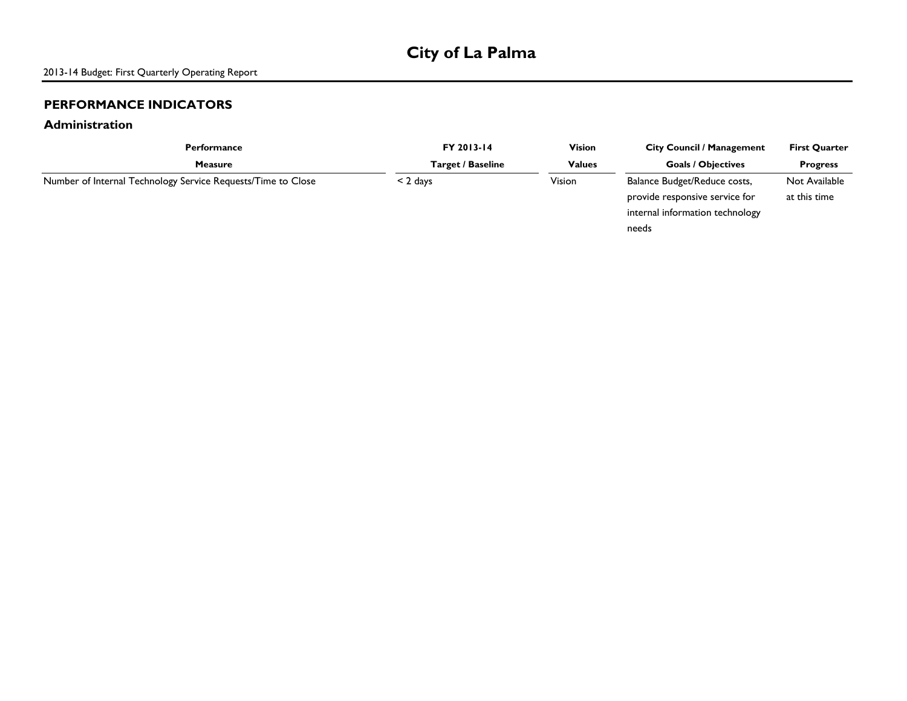#### **Administration**

| Performance                                                  | FY 2013-14        | <b>Vision</b> | <b>City Council / Management</b> | <b>First Quarter</b> |
|--------------------------------------------------------------|-------------------|---------------|----------------------------------|----------------------|
| <b>Measure</b>                                               | Target / Baseline | <b>Values</b> | <b>Goals / Objectives</b>        | <b>Progress</b>      |
| Number of Internal Technology Service Requests/Time to Close | $<$ 2 days        | Vision        | Balance Budget/Reduce costs,     | Not Available        |
|                                                              |                   |               | provide responsive service for   | at this time         |
|                                                              |                   |               | internal information technology  |                      |
|                                                              |                   |               | needs                            |                      |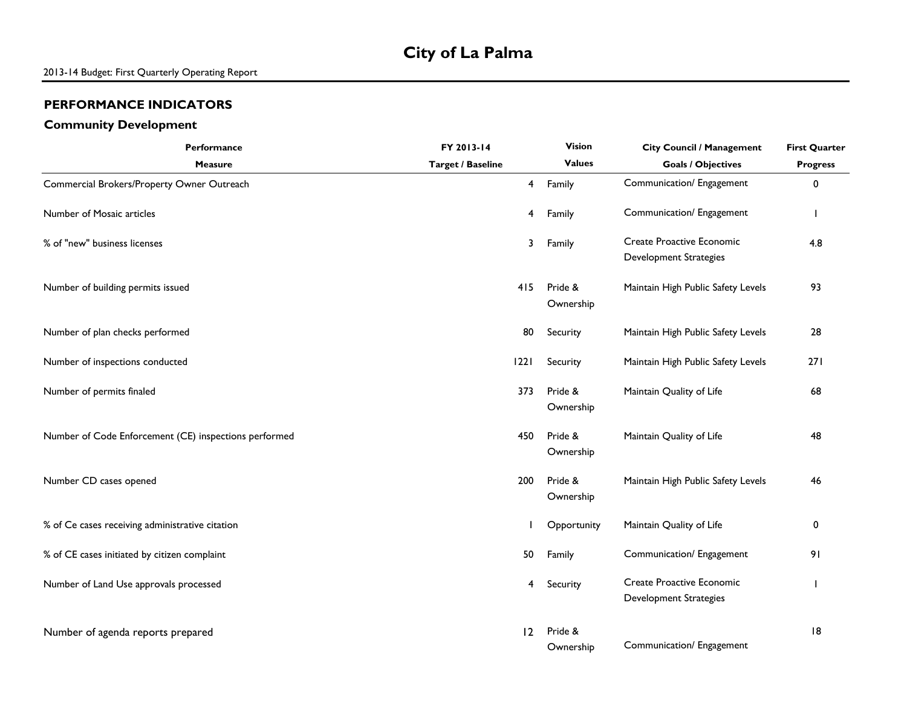#### **Community Development**

| Performance                                           | FY 2013-14               | <b>Vision</b>        | <b>City Council / Management</b>                                  | <b>First Quarter</b> |
|-------------------------------------------------------|--------------------------|----------------------|-------------------------------------------------------------------|----------------------|
| <b>Measure</b>                                        | <b>Target / Baseline</b> | <b>Values</b>        | <b>Goals / Objectives</b>                                         | <b>Progress</b>      |
| Commercial Brokers/Property Owner Outreach            | 4                        | Family               | Communication/ Engagement                                         | 0                    |
| Number of Mosaic articles                             | 4                        | Family               | Communication/ Engagement                                         |                      |
| % of "new" business licenses                          | 3                        | Family               | <b>Create Proactive Economic</b><br><b>Development Strategies</b> | 4.8                  |
| Number of building permits issued                     | 415                      | Pride &<br>Ownership | Maintain High Public Safety Levels                                | 93                   |
| Number of plan checks performed                       | 80                       | Security             | Maintain High Public Safety Levels                                | 28                   |
| Number of inspections conducted                       | 22                       | Security             | Maintain High Public Safety Levels                                | 271                  |
| Number of permits finaled                             | 373                      | Pride &<br>Ownership | Maintain Quality of Life                                          | 68                   |
| Number of Code Enforcement (CE) inspections performed | 450                      | Pride &<br>Ownership | Maintain Quality of Life                                          | 48                   |
| Number CD cases opened                                | 200                      | Pride &<br>Ownership | Maintain High Public Safety Levels                                | 46                   |
| % of Ce cases receiving administrative citation       |                          | Opportunity          | Maintain Quality of Life                                          | 0                    |
| % of CE cases initiated by citizen complaint          | 50                       | Family               | Communication/ Engagement                                         | 91                   |
| Number of Land Use approvals processed                | 4                        | Security             | <b>Create Proactive Economic</b><br><b>Development Strategies</b> |                      |
| Number of agenda reports prepared                     | 12                       | Pride &<br>Ownership | Communication/ Engagement                                         | 8                    |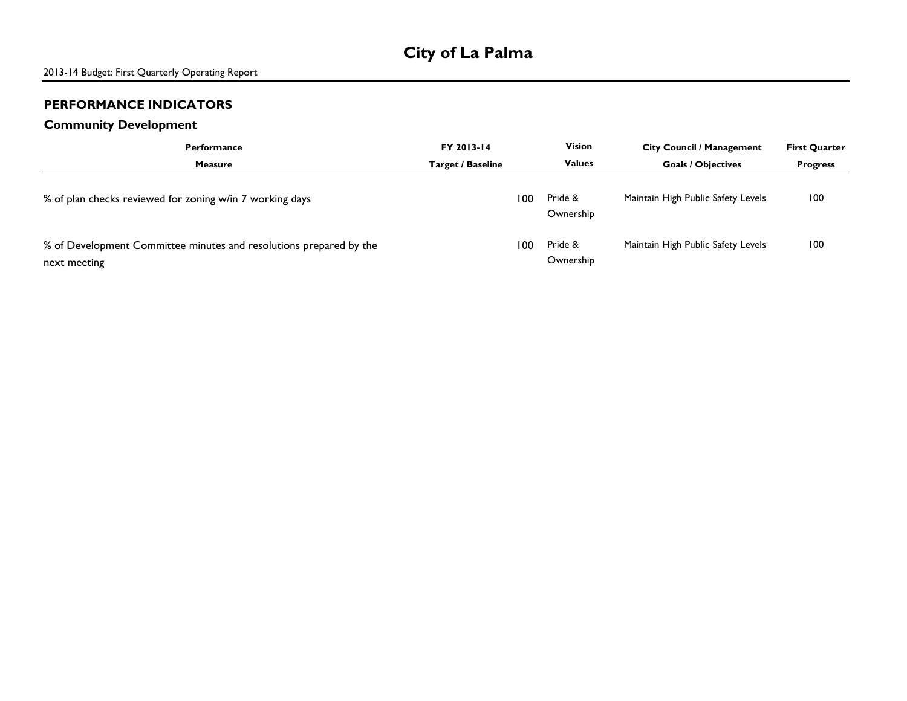#### **Community Development**

| <b>Performance</b>                                                                 | FY 2013-14        |     | <b>Vision</b>        | <b>City Council / Management</b>   | <b>First Quarter</b> |
|------------------------------------------------------------------------------------|-------------------|-----|----------------------|------------------------------------|----------------------|
| <b>Measure</b>                                                                     | Target / Baseline |     | <b>Values</b>        | <b>Goals / Objectives</b>          | <b>Progress</b>      |
| % of plan checks reviewed for zoning w/in 7 working days                           |                   | 100 | Pride &<br>Ownership | Maintain High Public Safety Levels | 100                  |
| % of Development Committee minutes and resolutions prepared by the<br>next meeting |                   | 100 | Pride &<br>Ownership | Maintain High Public Safety Levels | 100                  |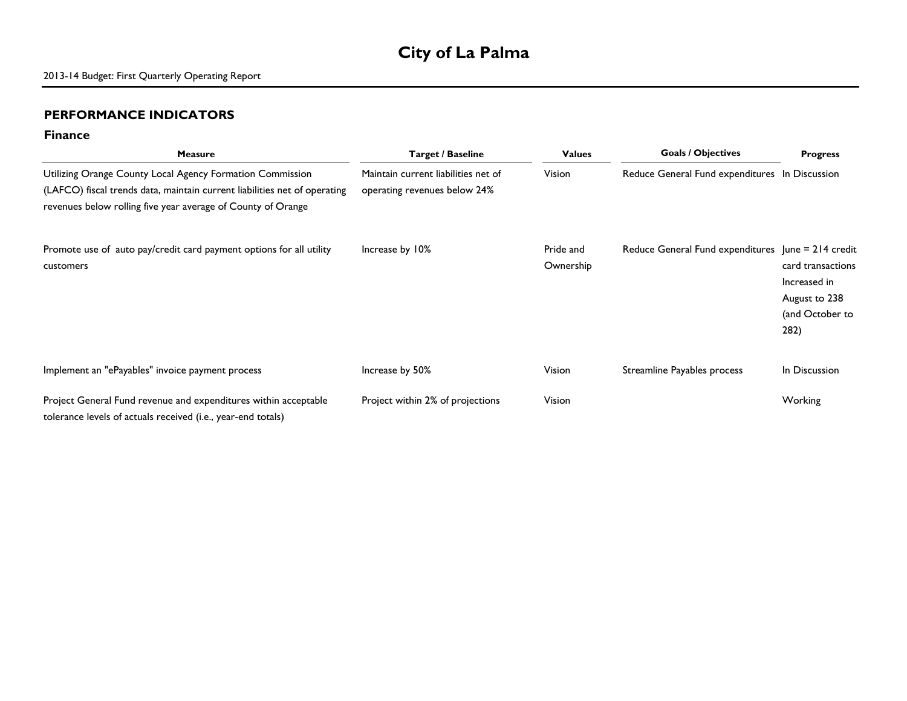## **City of La Palma**

#### **PERFORMANCE INDICATORS**

#### **Finance**

| <b>Measure</b>                                                                                                                                                                                         | Target / Baseline                                                   | <b>Values</b>          | <b>Goals / Objectives</b>                          | <b>Progress</b>                                                               |
|--------------------------------------------------------------------------------------------------------------------------------------------------------------------------------------------------------|---------------------------------------------------------------------|------------------------|----------------------------------------------------|-------------------------------------------------------------------------------|
| Utilizing Orange County Local Agency Formation Commission<br>(LAFCO) fiscal trends data, maintain current liabilities net of operating<br>revenues below rolling five year average of County of Orange | Maintain current liabilities net of<br>operating revenues below 24% | Vision                 | Reduce General Fund expenditures In Discussion     |                                                                               |
| Promote use of auto pay/credit card payment options for all utility<br>customers                                                                                                                       | Increase by 10%                                                     | Pride and<br>Ownership | Reduce General Fund expenditures June = 214 credit | card transactions<br>Increased in<br>August to 238<br>(and October to<br>282) |
| Implement an "ePayables" invoice payment process                                                                                                                                                       | Increase by 50%                                                     | Vision                 | Streamline Payables process                        | In Discussion                                                                 |
| Project General Fund revenue and expenditures within acceptable<br>tolerance levels of actuals received (i.e., year-end totals)                                                                        | Project within 2% of projections                                    | Vision                 |                                                    | Working                                                                       |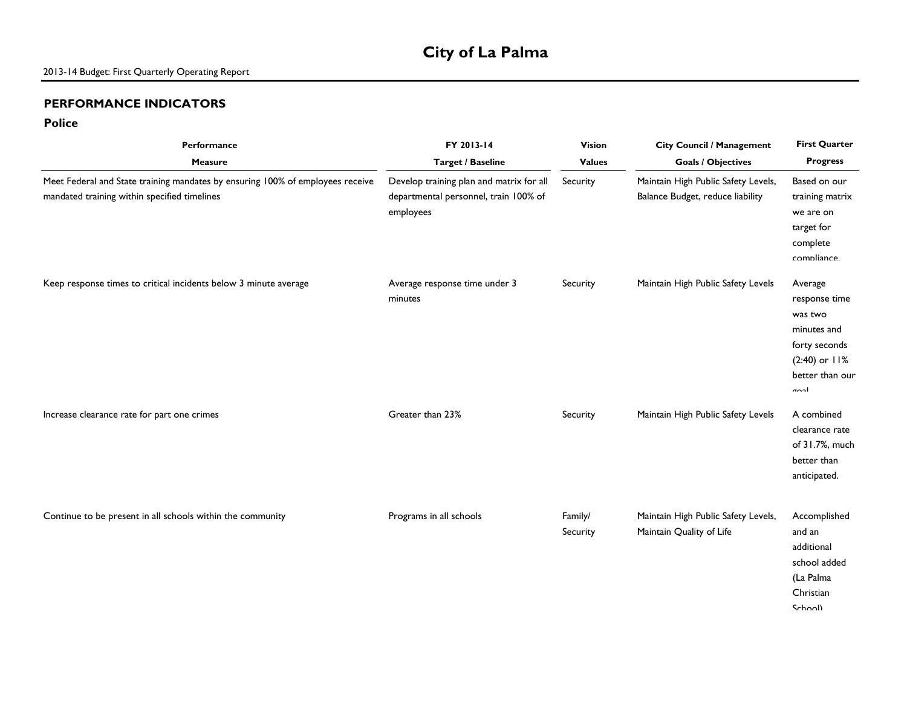## **City of La Palma**

#### **PERFORMANCE INDICATORS**

#### **Police**

| Performance                                                                                                                    | FY 2013-14                                                                                     | <b>Vision</b>       | <b>City Council / Management</b>                                        | <b>First Quarter</b>                                                                                                |
|--------------------------------------------------------------------------------------------------------------------------------|------------------------------------------------------------------------------------------------|---------------------|-------------------------------------------------------------------------|---------------------------------------------------------------------------------------------------------------------|
| <b>Measure</b>                                                                                                                 | <b>Target / Baseline</b>                                                                       | <b>Values</b>       | <b>Goals / Objectives</b>                                               | <b>Progress</b>                                                                                                     |
| Meet Federal and State training mandates by ensuring 100% of employees receive<br>mandated training within specified timelines | Develop training plan and matrix for all<br>departmental personnel, train 100% of<br>employees | Security            | Maintain High Public Safety Levels,<br>Balance Budget, reduce liability | Based on our<br>training matrix<br>we are on<br>target for<br>complete<br>compliance                                |
| Keep response times to critical incidents below 3 minute average                                                               | Average response time under 3<br>minutes                                                       | Security            | Maintain High Public Safety Levels                                      | Average<br>response time<br>was two<br>minutes and<br>forty seconds<br>$(2:40)$ or $11%$<br>better than our<br>ادمہ |
| Increase clearance rate for part one crimes                                                                                    | Greater than 23%                                                                               | Security            | Maintain High Public Safety Levels                                      | A combined<br>clearance rate<br>of 31.7%, much<br>better than<br>anticipated.                                       |
| Continue to be present in all schools within the community                                                                     | Programs in all schools                                                                        | Family/<br>Security | Maintain High Public Safety Levels,<br>Maintain Quality of Life         | Accomplished<br>and an<br>additional<br>school added<br>(La Palma<br>Christian<br>Schooll                           |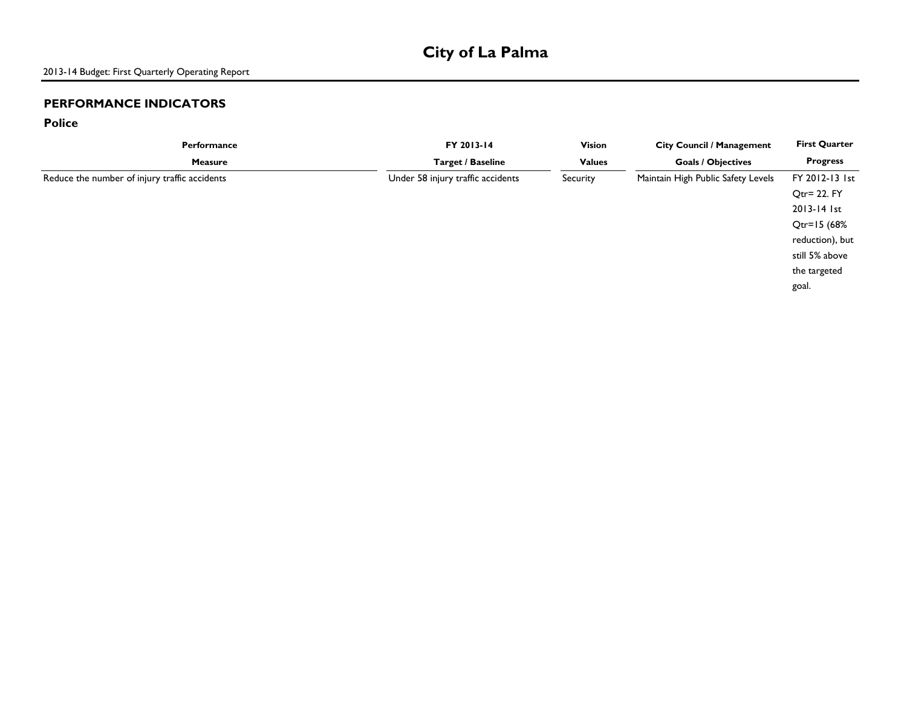**Police**

| Performance                                   | FY 2013-14                        | <b>Vision</b> | <b>City Council / Management</b>   | <b>First Quarter</b> |
|-----------------------------------------------|-----------------------------------|---------------|------------------------------------|----------------------|
| <b>Measure</b>                                | <b>Target / Baseline</b>          | <b>Values</b> | <b>Goals / Objectives</b>          | <b>Progress</b>      |
| Reduce the number of injury traffic accidents | Under 58 injury traffic accidents | Security      | Maintain High Public Safety Levels | FY 2012-13 1st       |
|                                               |                                   |               |                                    | Qtr= 22. FY          |
|                                               |                                   |               |                                    | 2013-14 1st          |
|                                               |                                   |               |                                    | $Qtr = 15(68%$       |
|                                               |                                   |               |                                    | reduction), but      |
|                                               |                                   |               |                                    | still 5% above       |
|                                               |                                   |               |                                    | the targeted         |
|                                               |                                   |               |                                    | goal.                |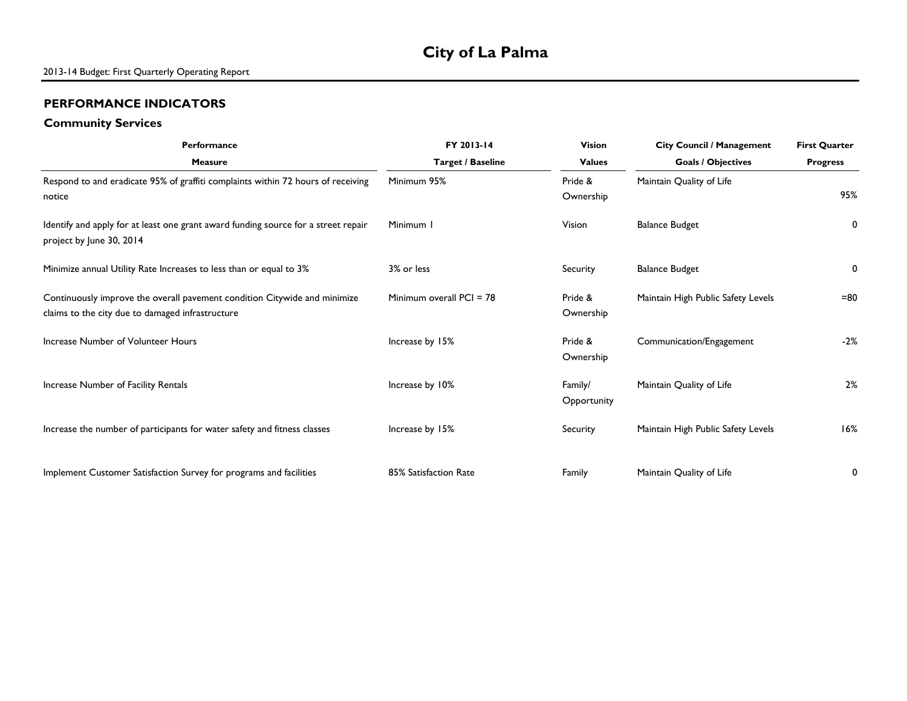#### **Community Services**

| <b>Performance</b>                                                                                                            | FY 2013-14               | <b>Vision</b>          | <b>City Council / Management</b>   | <b>First Quarter</b> |
|-------------------------------------------------------------------------------------------------------------------------------|--------------------------|------------------------|------------------------------------|----------------------|
| <b>Measure</b>                                                                                                                | <b>Target / Baseline</b> | <b>Values</b>          | <b>Goals / Objectives</b>          | <b>Progress</b>      |
| Respond to and eradicate 95% of graffiti complaints within 72 hours of receiving<br>notice                                    | Minimum 95%              | Pride &<br>Ownership   | Maintain Quality of Life           | 95%                  |
| Identify and apply for at least one grant award funding source for a street repair<br>project by June 30, 2014                | Minimum I                | Vision                 | <b>Balance Budget</b>              | 0                    |
| Minimize annual Utility Rate Increases to less than or equal to 3%                                                            | 3% or less               | Security               | <b>Balance Budget</b>              | 0                    |
| Continuously improve the overall pavement condition Citywide and minimize<br>claims to the city due to damaged infrastructure | Minimum overall PCI = 78 | Pride &<br>Ownership   | Maintain High Public Safety Levels | $=80$                |
| Increase Number of Volunteer Hours                                                                                            | Increase by 15%          | Pride &<br>Ownership   | Communication/Engagement           | $-2%$                |
| Increase Number of Facility Rentals                                                                                           | Increase by 10%          | Family/<br>Opportunity | Maintain Quality of Life           | 2%                   |
| Increase the number of participants for water safety and fitness classes                                                      | Increase by 15%          | Security               | Maintain High Public Safety Levels | 16%                  |
| Implement Customer Satisfaction Survey for programs and facilities                                                            | 85% Satisfaction Rate    | Family                 | Maintain Quality of Life           | 0                    |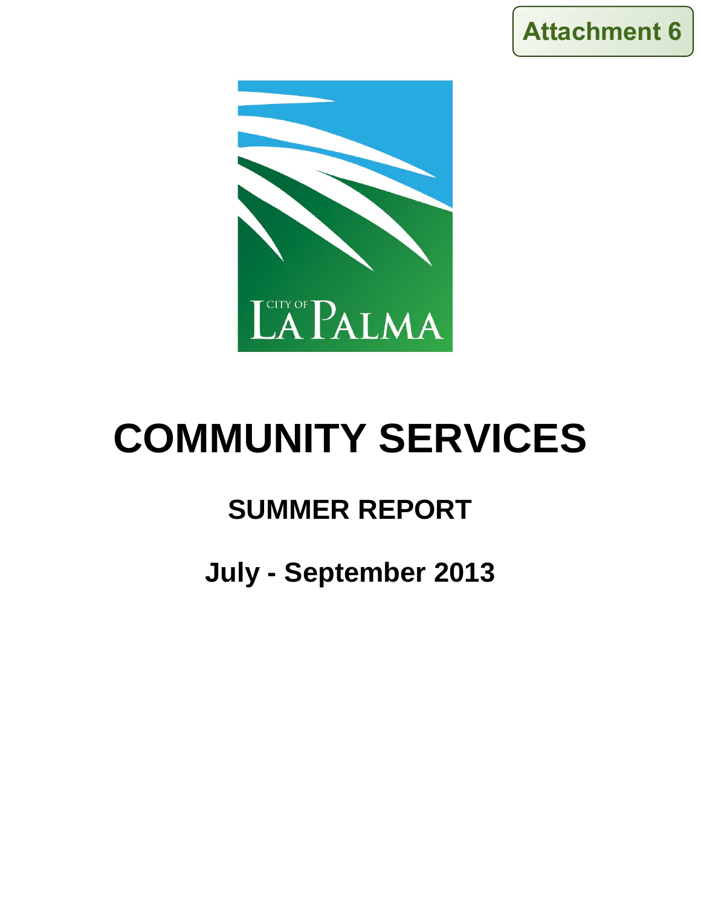



# **COMMUNITY SERVICES**

## **SUMMER REPORT**

## **July - September 2013**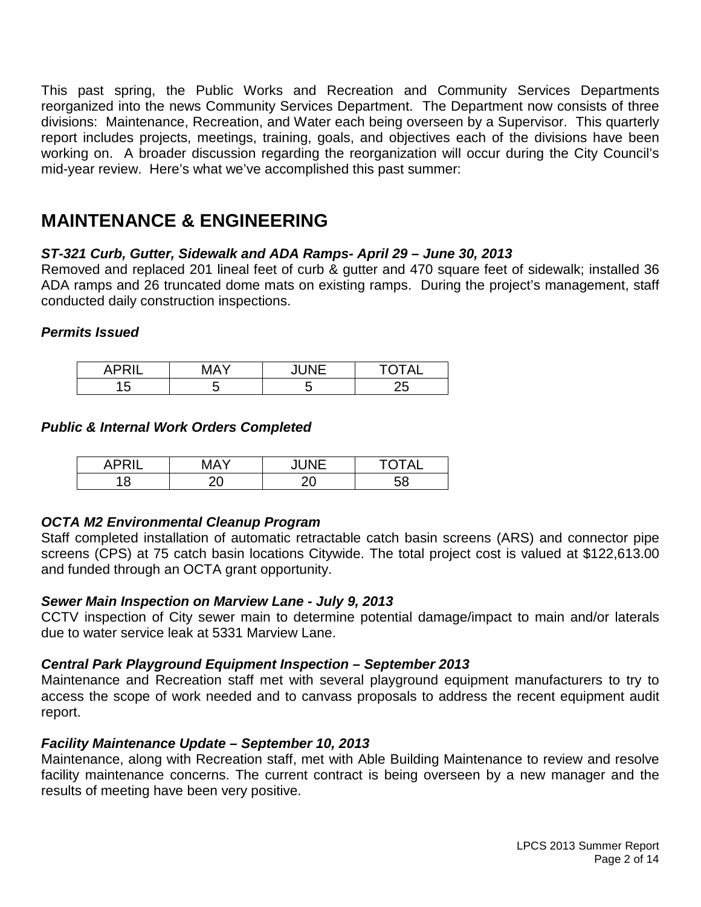This past spring, the Public Works and Recreation and Community Services Departments reorganized into the news Community Services Department. The Department now consists of three divisions: Maintenance, Recreation, and Water each being overseen by a Supervisor. This quarterly report includes projects, meetings, training, goals, and objectives each of the divisions have been working on. A broader discussion regarding the reorganization will occur during the City Council's mid-year review. Here's what we've accomplished this past summer:

## **MAINTENANCE & ENGINEERING**

#### *ST-321 Curb, Gutter, Sidewalk and ADA Ramps- April 29 – June 30, 2013*

Removed and replaced 201 lineal feet of curb & gutter and 470 square feet of sidewalk; installed 36 ADA ramps and 26 truncated dome mats on existing ramps. During the project's management, staff conducted daily construction inspections.

#### *Permits Issued*

| -<br>$\mathbf{u}$ | $\cdots$ |    | $\mathbf{A}$<br>∼ |
|-------------------|----------|----|-------------------|
| ∽<br>ັ            | ີ        | ъ. | Ē<br>-<br>-∽      |

#### *Public & Internal Work Orders Completed*

| -- | л        | 111 | $T$ $\cap$ $T \wedge T$ |
|----|----------|-----|-------------------------|
| A. |          | . . | Δ.                      |
| U  | Ò<br>- - | - - |                         |

#### *OCTA M2 Environmental Cleanup Program*

Staff completed installation of automatic retractable catch basin screens (ARS) and connector pipe screens (CPS) at 75 catch basin locations Citywide. The total project cost is valued at \$122,613.00 and funded through an OCTA grant opportunity.

#### *Sewer Main Inspection on Marview Lane - July 9, 2013*

CCTV inspection of City sewer main to determine potential damage/impact to main and/or laterals due to water service leak at 5331 Marview Lane.

#### *Central Park Playground Equipment Inspection – September 2013*

Maintenance and Recreation staff met with several playground equipment manufacturers to try to access the scope of work needed and to canvass proposals to address the recent equipment audit report.

#### *Facility Maintenance Update – September 10, 2013*

Maintenance, along with Recreation staff, met with Able Building Maintenance to review and resolve facility maintenance concerns. The current contract is being overseen by a new manager and the results of meeting have been very positive.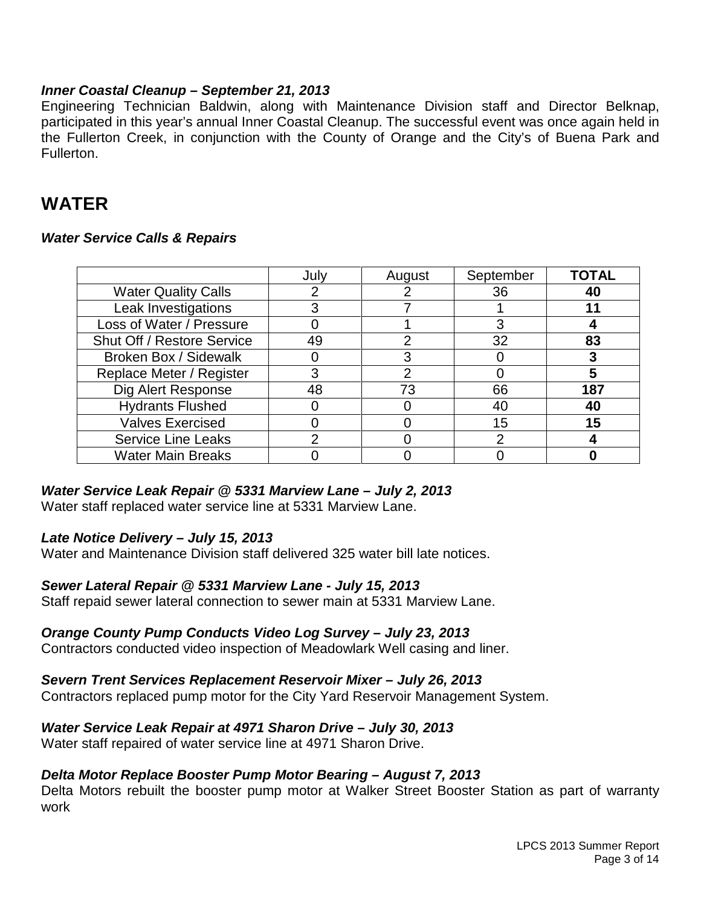#### *Inner Coastal Cleanup – September 21, 2013*

Engineering Technician Baldwin, along with Maintenance Division staff and Director Belknap, participated in this year's annual Inner Coastal Cleanup. The successful event was once again held in the Fullerton Creek, in conjunction with the County of Orange and the City's of Buena Park and Fullerton.

### **WATER**

#### *Water Service Calls & Repairs*

|                            | July | August | September | <b>TOTAL</b> |
|----------------------------|------|--------|-----------|--------------|
| <b>Water Quality Calls</b> |      |        | 36        | 40           |
| Leak Investigations        |      |        |           |              |
| Loss of Water / Pressure   |      |        | 3         |              |
| Shut Off / Restore Service | 49   |        | 32        | 83           |
| Broken Box / Sidewalk      |      |        |           |              |
| Replace Meter / Register   | 3    |        |           | 5            |
| Dig Alert Response         | 48   | 73     | 66        | 187          |
| <b>Hydrants Flushed</b>    |      |        | 40        | 40           |
| <b>Valves Exercised</b>    |      |        | 15        | 15           |
| <b>Service Line Leaks</b>  | າ    |        | າ         |              |
| <b>Water Main Breaks</b>   |      |        |           |              |

#### *Water Service Leak Repair @ 5331 Marview Lane – July 2, 2013*

Water staff replaced water service line at 5331 Marview Lane.

#### *Late Notice Delivery – July 15, 2013*

Water and Maintenance Division staff delivered 325 water bill late notices.

#### *Sewer Lateral Repair @ 5331 Marview Lane - July 15, 2013*

Staff repaid sewer lateral connection to sewer main at 5331 Marview Lane.

#### *Orange County Pump Conducts Video Log Survey – July 23, 2013*

Contractors conducted video inspection of Meadowlark Well casing and liner.

#### *Severn Trent Services Replacement Reservoir Mixer – July 26, 2013*

Contractors replaced pump motor for the City Yard Reservoir Management System.

#### *Water Service Leak Repair at 4971 Sharon Drive – July 30, 2013*

Water staff repaired of water service line at 4971 Sharon Drive.

#### *Delta Motor Replace Booster Pump Motor Bearing – August 7, 2013*

Delta Motors rebuilt the booster pump motor at Walker Street Booster Station as part of warranty work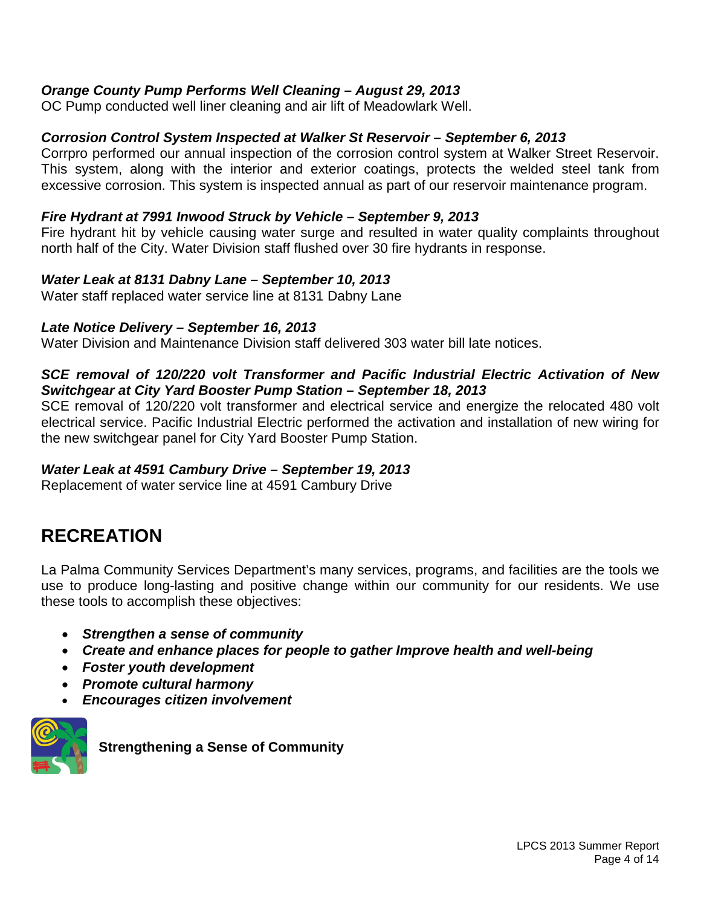#### *Orange County Pump Performs Well Cleaning – August 29, 2013*

OC Pump conducted well liner cleaning and air lift of Meadowlark Well.

#### *Corrosion Control System Inspected at Walker St Reservoir – September 6, 2013*

Corrpro performed our annual inspection of the corrosion control system at Walker Street Reservoir. This system, along with the interior and exterior coatings, protects the welded steel tank from excessive corrosion. This system is inspected annual as part of our reservoir maintenance program.

#### *Fire Hydrant at 7991 Inwood Struck by Vehicle – September 9, 2013*

Fire hydrant hit by vehicle causing water surge and resulted in water quality complaints throughout north half of the City. Water Division staff flushed over 30 fire hydrants in response.

#### *Water Leak at 8131 Dabny Lane – September 10, 2013*

Water staff replaced water service line at 8131 Dabny Lane

#### *Late Notice Delivery – September 16, 2013*

Water Division and Maintenance Division staff delivered 303 water bill late notices.

#### *SCE removal of 120/220 volt Transformer and Pacific Industrial Electric Activation of New Switchgear at City Yard Booster Pump Station – September 18, 2013*

SCE removal of 120/220 volt transformer and electrical service and energize the relocated 480 volt electrical service. Pacific Industrial Electric performed the activation and installation of new wiring for the new switchgear panel for City Yard Booster Pump Station.

#### *Water Leak at 4591 Cambury Drive – September 19, 2013*

Replacement of water service line at 4591 Cambury Drive

### **RECREATION**

La Palma Community Services Department's many services, programs, and facilities are the tools we use to produce long-lasting and positive change within our community for our residents. We use these tools to accomplish these objectives:

- *Strengthen a sense of community*
- *Create and enhance places for people to gather Improve health and well-being*
- *Foster youth development*
- *Promote cultural harmony*
- *Encourages citizen involvement*



**Strengthening a Sense of Community**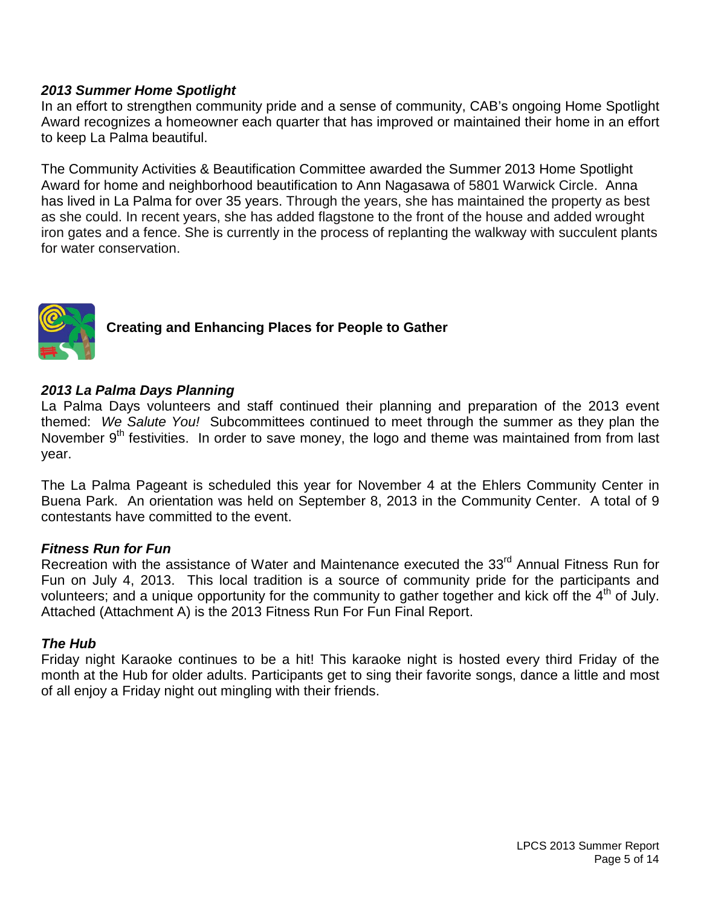#### *2013 Summer Home Spotlight*

In an effort to strengthen community pride and a sense of community, CAB's ongoing Home Spotlight Award recognizes a homeowner each quarter that has improved or maintained their home in an effort to keep La Palma beautiful.

The Community Activities & Beautification Committee awarded the Summer 2013 Home Spotlight Award for home and neighborhood beautification to Ann Nagasawa of 5801 Warwick Circle. Anna has lived in La Palma for over 35 years. Through the years, she has maintained the property as best as she could. In recent years, she has added flagstone to the front of the house and added wrought iron gates and a fence. She is currently in the process of replanting the walkway with succulent plants for water conservation.



#### **Creating and Enhancing Places for People to Gather**

#### *2013 La Palma Days Planning*

La Palma Days volunteers and staff continued their planning and preparation of the 2013 event themed: *We Salute You!* Subcommittees continued to meet through the summer as they plan the November 9<sup>th</sup> festivities. In order to save money, the logo and theme was maintained from from last year.

The La Palma Pageant is scheduled this year for November 4 at the Ehlers Community Center in Buena Park. An orientation was held on September 8, 2013 in the Community Center. A total of 9 contestants have committed to the event.

#### *Fitness Run for Fun*

Recreation with the assistance of Water and Maintenance executed the 33<sup>rd</sup> Annual Fitness Run for Fun on July 4, 2013. This local tradition is a source of community pride for the participants and volunteers; and a unique opportunity for the community to gather together and kick off the 4<sup>th</sup> of July. Attached (Attachment A) is the 2013 Fitness Run For Fun Final Report.

#### *The Hub*

Friday night Karaoke continues to be a hit! This karaoke night is hosted every third Friday of the month at the Hub for older adults. Participants get to sing their favorite songs, dance a little and most of all enjoy a Friday night out mingling with their friends.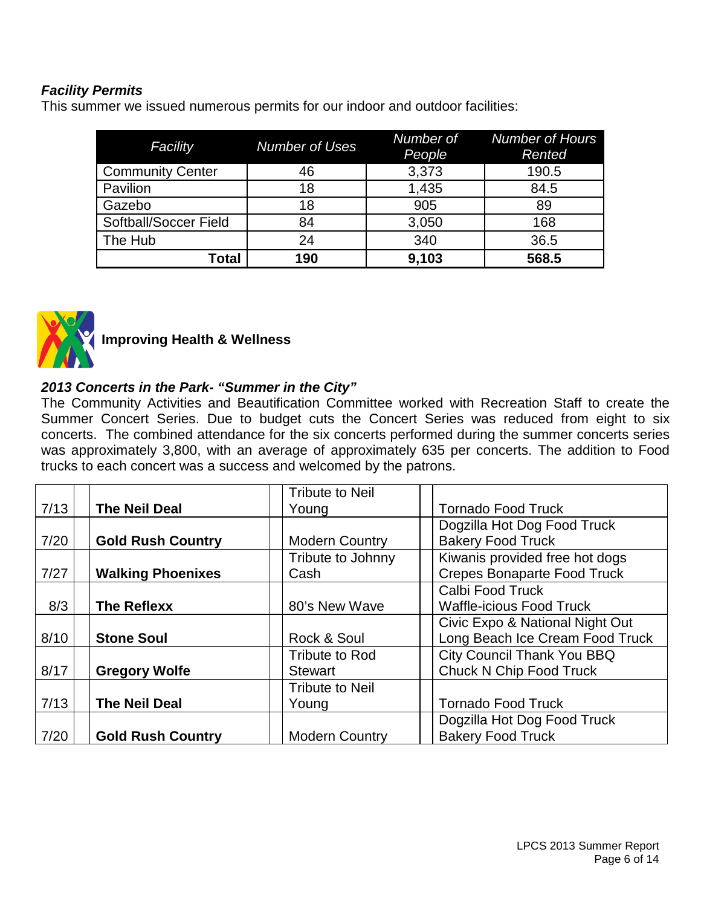#### *Facility Permits*

This summer we issued numerous permits for our indoor and outdoor facilities:

| Facility                | <b>Number of Uses</b> | Number of<br>People | <b>Number of Hours</b><br>Rented |
|-------------------------|-----------------------|---------------------|----------------------------------|
| <b>Community Center</b> | 46                    | 3,373               | 190.5                            |
| Pavilion                | 18                    | 1,435               | 84.5                             |
| Gazebo                  | 18                    | 905                 | 89                               |
| Softball/Soccer Field   | 84                    | 3,050               | 168                              |
| The Hub                 | 24                    | 340                 | 36.5                             |
| Total                   | 190                   | 9,103               | 568.5                            |



 **Improving Health & Wellness**

#### *2013 Concerts in the Park- "Summer in the City"*

The Community Activities and Beautification Committee worked with Recreation Staff to create the Summer Concert Series. Due to budget cuts the Concert Series was reduced from eight to six concerts. The combined attendance for the six concerts performed during the summer concerts series was approximately 3,800, with an average of approximately 635 per concerts. The addition to Food trucks to each concert was a success and welcomed by the patrons.

|      |                          | <b>Tribute to Neil</b> |                                    |
|------|--------------------------|------------------------|------------------------------------|
| 7/13 | <b>The Neil Deal</b>     | Young                  | <b>Tornado Food Truck</b>          |
|      |                          |                        | Dogzilla Hot Dog Food Truck        |
| 7/20 | <b>Gold Rush Country</b> | <b>Modern Country</b>  | <b>Bakery Food Truck</b>           |
|      |                          | Tribute to Johnny      | Kiwanis provided free hot dogs     |
| 7/27 | <b>Walking Phoenixes</b> | Cash                   | <b>Crepes Bonaparte Food Truck</b> |
|      |                          |                        | Calbi Food Truck                   |
| 8/3  | <b>The Reflexx</b>       | 80's New Wave          | <b>Waffle-icious Food Truck</b>    |
|      |                          |                        | Civic Expo & National Night Out    |
| 8/10 | <b>Stone Soul</b>        | Rock & Soul            | Long Beach Ice Cream Food Truck    |
|      |                          | Tribute to Rod         | <b>City Council Thank You BBQ</b>  |
| 8/17 | <b>Gregory Wolfe</b>     | <b>Stewart</b>         | <b>Chuck N Chip Food Truck</b>     |
|      |                          | <b>Tribute to Neil</b> |                                    |
| 7/13 | <b>The Neil Deal</b>     | Young                  | <b>Tornado Food Truck</b>          |
|      |                          |                        | Dogzilla Hot Dog Food Truck        |
| 7/20 | <b>Gold Rush Country</b> | <b>Modern Country</b>  | <b>Bakery Food Truck</b>           |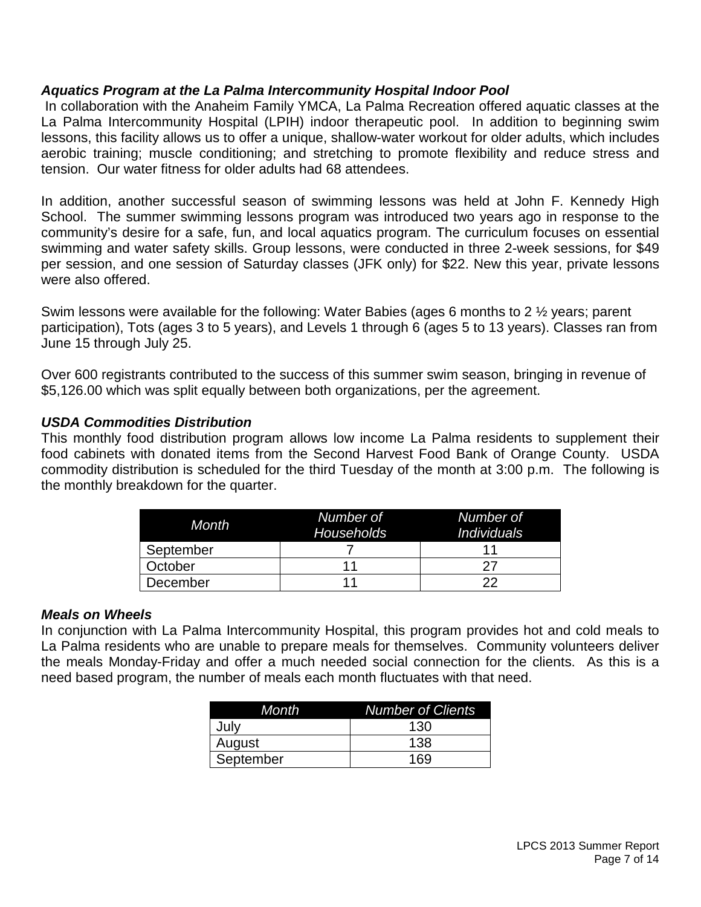#### *Aquatics Program at the La Palma Intercommunity Hospital Indoor Pool*

In collaboration with the Anaheim Family YMCA, La Palma Recreation offered aquatic classes at the La Palma Intercommunity Hospital (LPIH) indoor therapeutic pool. In addition to beginning swim lessons, this facility allows us to offer a unique, shallow-water workout for older adults, which includes aerobic training; muscle conditioning; and stretching to promote flexibility and reduce stress and tension. Our water fitness for older adults had 68 attendees.

In addition, another successful season of swimming lessons was held at John F. Kennedy High School. The summer swimming lessons program was introduced two years ago in response to the community's desire for a safe, fun, and local aquatics program. The curriculum focuses on essential swimming and water safety skills. Group lessons, were conducted in three 2-week sessions, for \$49 per session, and one session of Saturday classes (JFK only) for \$22. New this year, private lessons were also offered.

Swim lessons were available for the following: Water Babies (ages 6 months to 2 ½ years; parent participation), Tots (ages 3 to 5 years), and Levels 1 through 6 (ages 5 to 13 years). Classes ran from June 15 through July 25.

Over 600 registrants contributed to the success of this summer swim season, bringing in revenue of \$5,126.00 which was split equally between both organizations, per the agreement.

#### *USDA Commodities Distribution*

This monthly food distribution program allows low income La Palma residents to supplement their food cabinets with donated items from the Second Harvest Food Bank of Orange County. USDA commodity distribution is scheduled for the third Tuesday of the month at 3:00 p.m. The following is the monthly breakdown for the quarter.

| <b>Month</b> | Number of<br><b>Households</b> | Number of<br><i>Individuals</i> |
|--------------|--------------------------------|---------------------------------|
| September    |                                |                                 |
| October      |                                |                                 |
| December     |                                | つつ                              |

#### *Meals on Wheels*

In conjunction with La Palma Intercommunity Hospital, this program provides hot and cold meals to La Palma residents who are unable to prepare meals for themselves. Community volunteers deliver the meals Monday-Friday and offer a much needed social connection for the clients. As this is a need based program, the number of meals each month fluctuates with that need.

| Month     | <b>Number of Clients</b> |
|-----------|--------------------------|
| July      | 130                      |
| August    | 138                      |
| September | 169                      |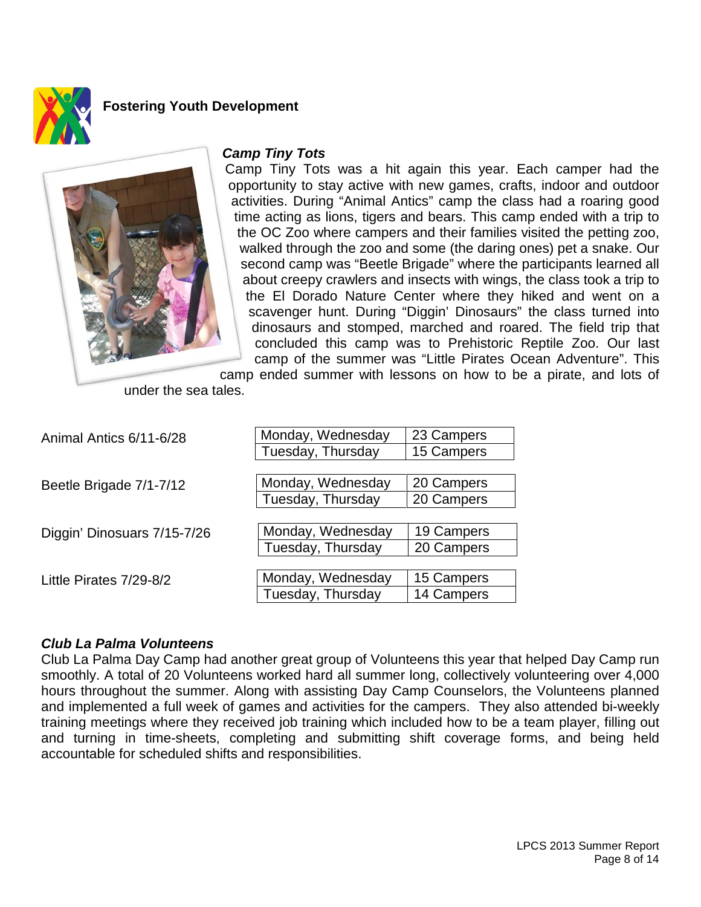

#### **Fostering Youth Development**



#### *Camp Tiny Tots*

Camp Tiny Tots was a hit again this year. Each camper had the opportunity to stay active with new games, crafts, indoor and outdoor activities. During "Animal Antics" camp the class had a roaring good time acting as lions, tigers and bears. This camp ended with a trip to the OC Zoo where campers and their families visited the petting zoo, walked through the zoo and some (the daring ones) pet a snake. Our second camp was "Beetle Brigade" where the participants learned all about creepy crawlers and insects with wings, the class took a trip to the El Dorado Nature Center where they hiked and went on a scavenger hunt. During "Diggin' Dinosaurs" the class turned into dinosaurs and stomped, marched and roared. The field trip that concluded this camp was to Prehistoric Reptile Zoo. Our last camp of the summer was "Little Pirates Ocean Adventure". This

camp ended summer with lessons on how to be a pirate, and lots of under the sea tales.

| Animal Antics 6/11-6/28     | Monday, Wednesday | 23 Campers |  |
|-----------------------------|-------------------|------------|--|
|                             | Tuesday, Thursday | 15 Campers |  |
|                             |                   |            |  |
| Beetle Brigade 7/1-7/12     | Monday, Wednesday | 20 Campers |  |
|                             | Tuesday, Thursday | 20 Campers |  |
|                             |                   |            |  |
| Diggin' Dinosuars 7/15-7/26 | Monday, Wednesday | 19 Campers |  |
|                             | Tuesday, Thursday | 20 Campers |  |
|                             |                   |            |  |
| Little Pirates 7/29-8/2     | Monday, Wednesday | 15 Campers |  |
|                             | Tuesday, Thursday | 14 Campers |  |

#### *Club La Palma Volunteens*

Club La Palma Day Camp had another great group of Volunteens this year that helped Day Camp run smoothly. A total of 20 Volunteens worked hard all summer long, collectively volunteering over 4,000 hours throughout the summer. Along with assisting Day Camp Counselors, the Volunteens planned and implemented a full week of games and activities for the campers. They also attended bi-weekly training meetings where they received job training which included how to be a team player, filling out and turning in time-sheets, completing and submitting shift coverage forms, and being held accountable for scheduled shifts and responsibilities.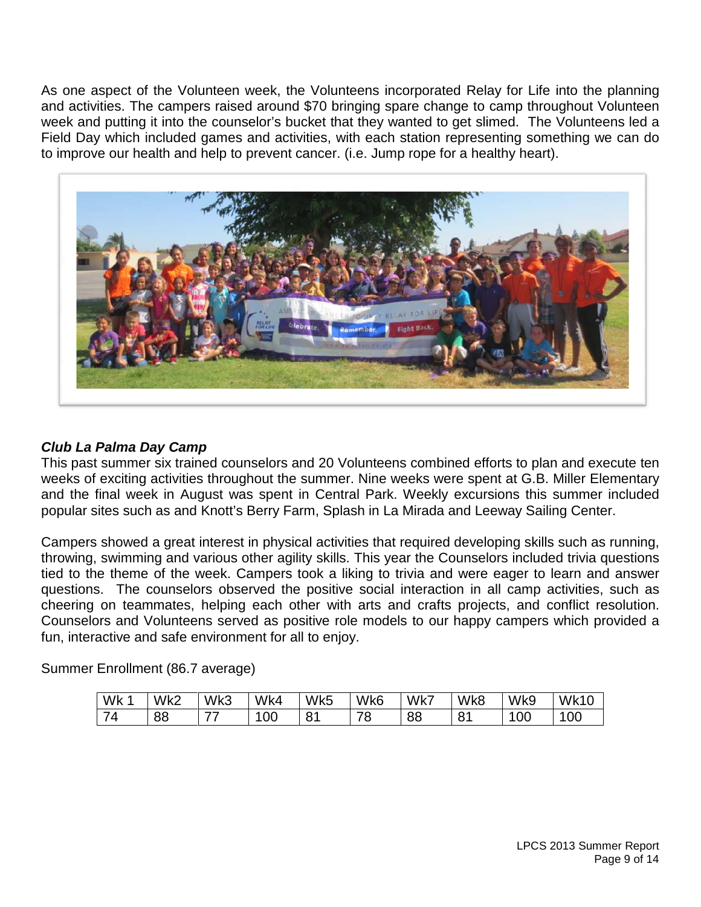As one aspect of the Volunteen week, the Volunteens incorporated Relay for Life into the planning and activities. The campers raised around \$70 bringing spare change to camp throughout Volunteen week and putting it into the counselor's bucket that they wanted to get slimed. The Volunteens led a Field Day which included games and activities, with each station representing something we can do to improve our health and help to prevent cancer. (i.e. Jump rope for a healthy heart).



#### *Club La Palma Day Camp*

This past summer six trained counselors and 20 Volunteens combined efforts to plan and execute ten weeks of exciting activities throughout the summer. Nine weeks were spent at G.B. Miller Elementary and the final week in August was spent in Central Park. Weekly excursions this summer included popular sites such as and Knott's Berry Farm, Splash in La Mirada and Leeway Sailing Center.

Campers showed a great interest in physical activities that required developing skills such as running, throwing, swimming and various other agility skills. This year the Counselors included trivia questions tied to the theme of the week. Campers took a liking to trivia and were eager to learn and answer questions. The counselors observed the positive social interaction in all camp activities, such as cheering on teammates, helping each other with arts and crafts projects, and conflict resolution. Counselors and Volunteens served as positive role models to our happy campers which provided a fun, interactive and safe environment for all to enjoy.

Summer Enrollment (86.7 average)

| Wk | Wk2 | $\frac{7}{8}$<br>W | Wk4 | Wk5                   | Wk6     | Wk7 | Wk8               | Wk9 | Wk10 |
|----|-----|--------------------|-----|-----------------------|---------|-----|-------------------|-----|------|
| -  | 88  | --                 | 00  | O <sub>4</sub><br>. . | 70<br>◡ | 88  | $\mathbf{o}$<br>ັ | 00  | 00   |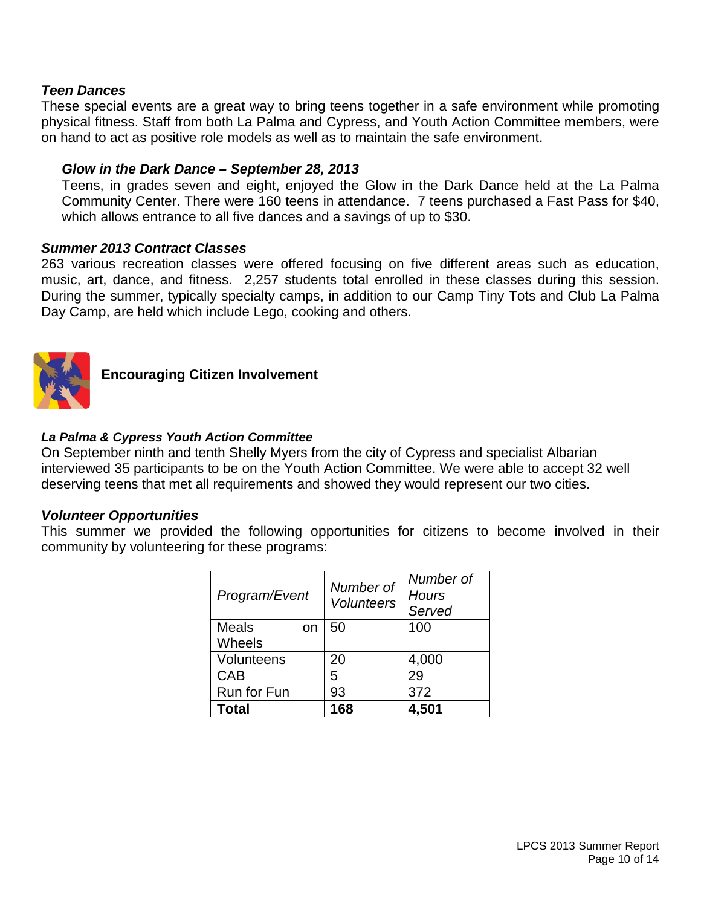#### *Teen Dances*

These special events are a great way to bring teens together in a safe environment while promoting physical fitness. Staff from both La Palma and Cypress, and Youth Action Committee members, were on hand to act as positive role models as well as to maintain the safe environment.

#### *Glow in the Dark Dance – September 28, 2013*

Teens, in grades seven and eight, enjoyed the Glow in the Dark Dance held at the La Palma Community Center. There were 160 teens in attendance. 7 teens purchased a Fast Pass for \$40, which allows entrance to all five dances and a savings of up to \$30.

#### *Summer 2013 Contract Classes*

263 various recreation classes were offered focusing on five different areas such as education, music, art, dance, and fitness. 2,257 students total enrolled in these classes during this session. During the summer, typically specialty camps, in addition to our Camp Tiny Tots and Club La Palma Day Camp, are held which include Lego, cooking and others.



**Encouraging Citizen Involvement**

#### *La Palma & Cypress Youth Action Committee*

On September ninth and tenth Shelly Myers from the city of Cypress and specialist Albarian interviewed 35 participants to be on the Youth Action Committee. We were able to accept 32 well deserving teens that met all requirements and showed they would represent our two cities.

#### *Volunteer Opportunities*

This summer we provided the following opportunities for citizens to become involved in their community by volunteering for these programs:

| Program/Event      | Number of<br><b>Volunteers</b> | Number of<br>Hours<br>Served |
|--------------------|--------------------------------|------------------------------|
| <b>Meals</b><br>on | 50                             | 100                          |
| Wheels             |                                |                              |
| Volunteens         | 20                             | 4,000                        |
| <b>CAB</b>         | 5                              | 29                           |
| <b>Run for Fun</b> | 93                             | 372                          |
| Total              | 168                            | 4.501                        |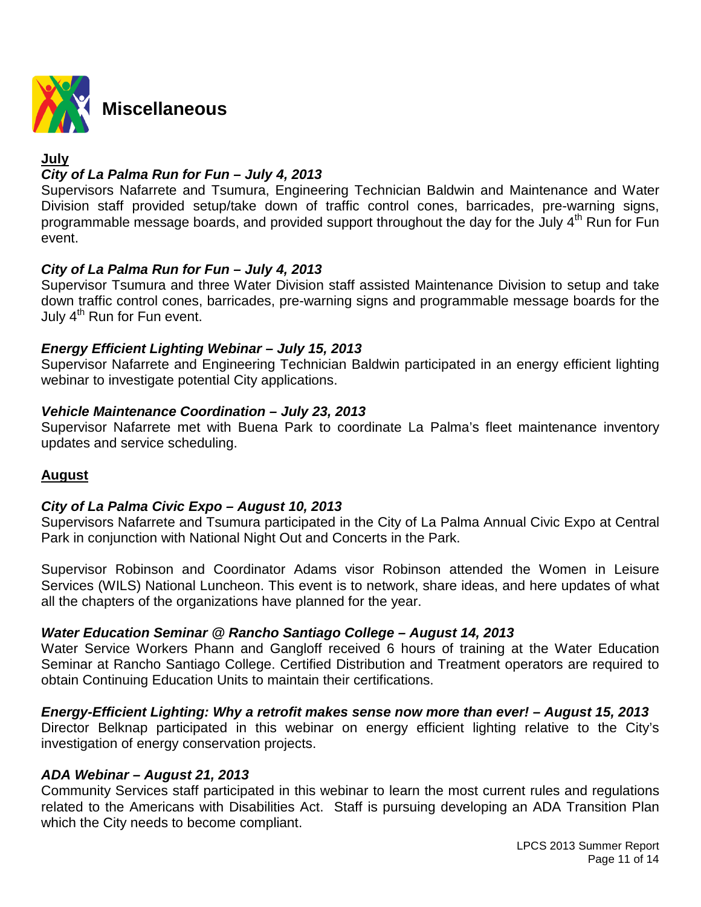

#### **July**

#### *City of La Palma Run for Fun – July 4, 2013*

Supervisors Nafarrete and Tsumura, Engineering Technician Baldwin and Maintenance and Water Division staff provided setup/take down of traffic control cones, barricades, pre-warning signs, programmable message boards, and provided support throughout the day for the July  $4<sup>th</sup>$  Run for Fun event.

#### *City of La Palma Run for Fun – July 4, 2013*

Supervisor Tsumura and three Water Division staff assisted Maintenance Division to setup and take down traffic control cones, barricades, pre-warning signs and programmable message boards for the July  $4^{\text{th}}$  Run for Fun event.

#### *Energy Efficient Lighting Webinar – July 15, 2013*

Supervisor Nafarrete and Engineering Technician Baldwin participated in an energy efficient lighting webinar to investigate potential City applications.

#### *Vehicle Maintenance Coordination – July 23, 2013*

Supervisor Nafarrete met with Buena Park to coordinate La Palma's fleet maintenance inventory updates and service scheduling.

#### **August**

#### *City of La Palma Civic Expo – August 10, 2013*

Supervisors Nafarrete and Tsumura participated in the City of La Palma Annual Civic Expo at Central Park in conjunction with National Night Out and Concerts in the Park.

Supervisor Robinson and Coordinator Adams visor Robinson attended the Women in Leisure Services (WILS) National Luncheon. This event is to network, share ideas, and here updates of what all the chapters of the organizations have planned for the year.

#### *Water Education Seminar @ Rancho Santiago College – August 14, 2013*

Water Service Workers Phann and Gangloff received 6 hours of training at the Water Education Seminar at Rancho Santiago College. Certified Distribution and Treatment operators are required to obtain Continuing Education Units to maintain their certifications.

#### *Energy-Efficient Lighting: Why a retrofit makes sense now more than ever! – August 15, 2013*

Director Belknap participated in this webinar on energy efficient lighting relative to the City's investigation of energy conservation projects.

#### *ADA Webinar – August 21, 2013*

Community Services staff participated in this webinar to learn the most current rules and regulations related to the Americans with Disabilities Act. Staff is pursuing developing an ADA Transition Plan which the City needs to become compliant.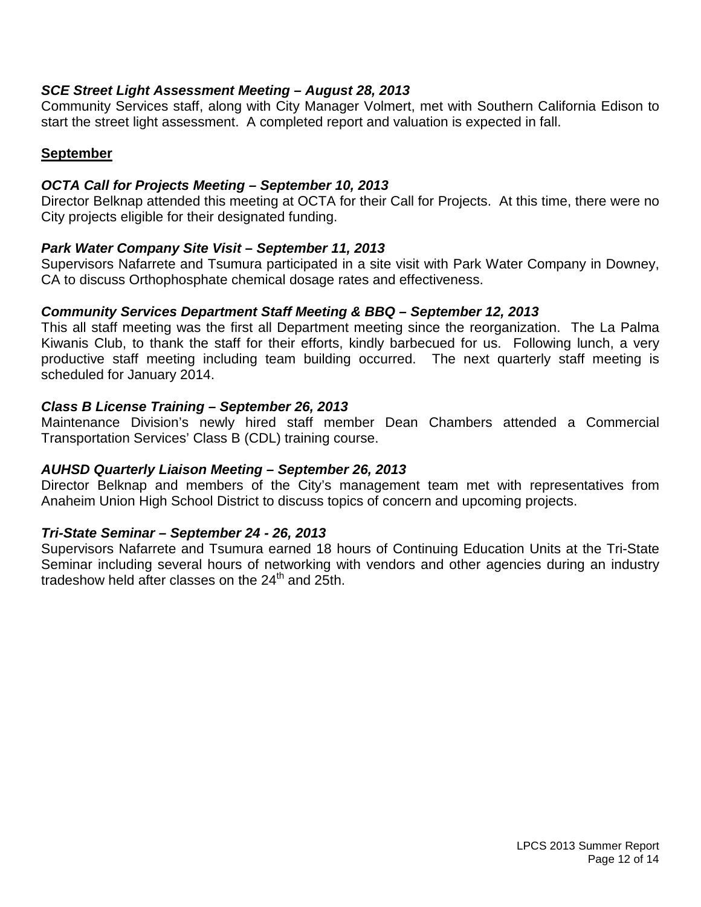#### *SCE Street Light Assessment Meeting – August 28, 2013*

Community Services staff, along with City Manager Volmert, met with Southern California Edison to start the street light assessment. A completed report and valuation is expected in fall.

#### **September**

#### *OCTA Call for Projects Meeting – September 10, 2013*

Director Belknap attended this meeting at OCTA for their Call for Projects. At this time, there were no City projects eligible for their designated funding.

#### *Park Water Company Site Visit – September 11, 2013*

Supervisors Nafarrete and Tsumura participated in a site visit with Park Water Company in Downey, CA to discuss Orthophosphate chemical dosage rates and effectiveness.

#### *Community Services Department Staff Meeting & BBQ – September 12, 2013*

This all staff meeting was the first all Department meeting since the reorganization. The La Palma Kiwanis Club, to thank the staff for their efforts, kindly barbecued for us. Following lunch, a very productive staff meeting including team building occurred. The next quarterly staff meeting is scheduled for January 2014.

#### *Class B License Training – September 26, 2013*

Maintenance Division's newly hired staff member Dean Chambers attended a Commercial Transportation Services' Class B (CDL) training course.

#### *AUHSD Quarterly Liaison Meeting – September 26, 2013*

Director Belknap and members of the City's management team met with representatives from Anaheim Union High School District to discuss topics of concern and upcoming projects.

#### *Tri-State Seminar – September 24 - 26, 2013*

Supervisors Nafarrete and Tsumura earned 18 hours of Continuing Education Units at the Tri-State Seminar including several hours of networking with vendors and other agencies during an industry tradeshow held after classes on the  $24<sup>th</sup>$  and  $25th$ .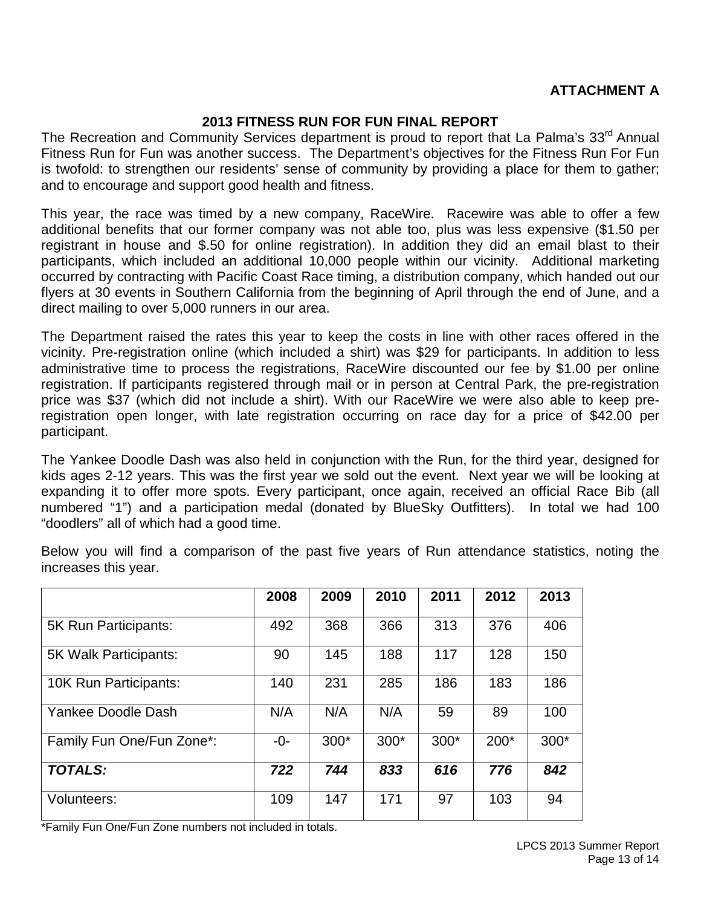#### **ATTACHMENT A**

#### **2013 FITNESS RUN FOR FUN FINAL REPORT**

The Recreation and Community Services department is proud to report that La Palma's 33<sup>rd</sup> Annual Fitness Run for Fun was another success. The Department's objectives for the Fitness Run For Fun is twofold: to strengthen our residents' sense of community by providing a place for them to gather; and to encourage and support good health and fitness.

This year, the race was timed by a new company, RaceWire. Racewire was able to offer a few additional benefits that our former company was not able too, plus was less expensive (\$1.50 per registrant in house and \$.50 for online registration). In addition they did an email blast to their participants, which included an additional 10,000 people within our vicinity. Additional marketing occurred by contracting with Pacific Coast Race timing, a distribution company, which handed out our flyers at 30 events in Southern California from the beginning of April through the end of June, and a direct mailing to over 5,000 runners in our area.

The Department raised the rates this year to keep the costs in line with other races offered in the vicinity. Pre-registration online (which included a shirt) was \$29 for participants. In addition to less administrative time to process the registrations, RaceWire discounted our fee by \$1.00 per online registration. If participants registered through mail or in person at Central Park, the pre-registration price was \$37 (which did not include a shirt). With our RaceWire we were also able to keep preregistration open longer, with late registration occurring on race day for a price of \$42.00 per participant.

The Yankee Doodle Dash was also held in conjunction with the Run, for the third year, designed for kids ages 2-12 years. This was the first year we sold out the event. Next year we will be looking at expanding it to offer more spots. Every participant, once again, received an official Race Bib (all numbered "1") and a participation medal (donated by BlueSky Outfitters). In total we had 100 "doodlers" all of which had a good time.

|                           | 2008 | 2009   | 2010 | 2011   | 2012   | 2013   |
|---------------------------|------|--------|------|--------|--------|--------|
| 5K Run Participants:      | 492  | 368    | 366  | 313    | 376    | 406    |
| 5K Walk Participants:     | 90   | 145    | 188  | 117    | 128    | 150    |
| 10K Run Participants:     | 140  | 231    | 285  | 186    | 183    | 186    |
| Yankee Doodle Dash        | N/A  | N/A    | N/A  | 59     | 89     | 100    |
| Family Fun One/Fun Zone*: | -0-  | $300*$ | 300* | $300*$ | $200*$ | $300*$ |
| <b>TOTALS:</b>            | 722  | 744    | 833  | 616    | 776    | 842    |
| Volunteers:               | 109  | 147    | 171  | 97     | 103    | 94     |

Below you will find a comparison of the past five years of Run attendance statistics, noting the increases this year.

\*Family Fun One/Fun Zone numbers not included in totals.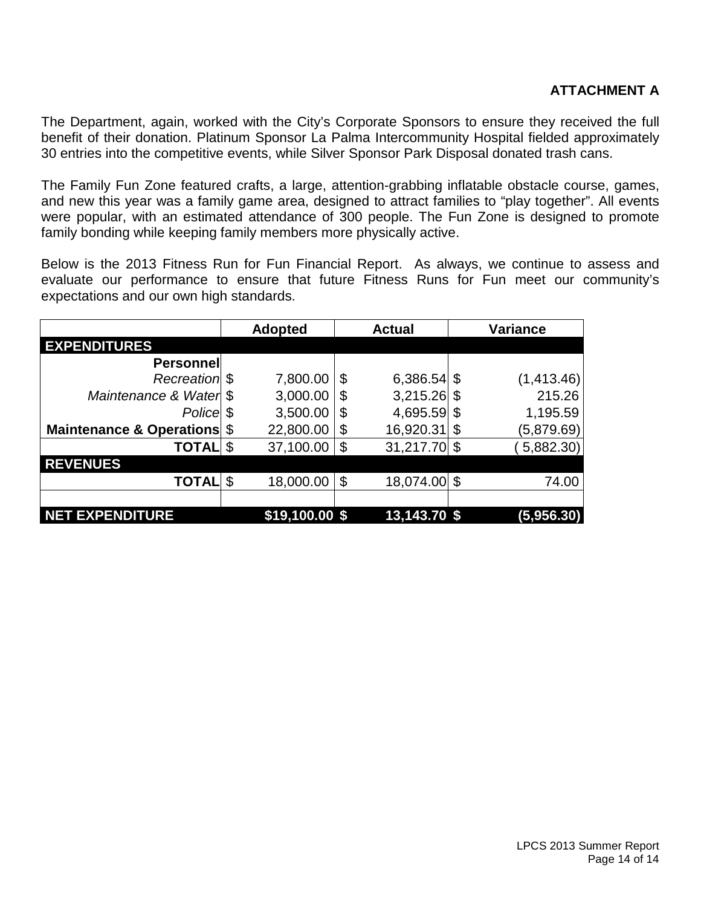The Department, again, worked with the City's Corporate Sponsors to ensure they received the full benefit of their donation. Platinum Sponsor La Palma Intercommunity Hospital fielded approximately 30 entries into the competitive events, while Silver Sponsor Park Disposal donated trash cans.

The Family Fun Zone featured crafts, a large, attention-grabbing inflatable obstacle course, games, and new this year was a family game area, designed to attract families to "play together". All events were popular, with an estimated attendance of 300 people. The Fun Zone is designed to promote family bonding while keeping family members more physically active.

Below is the 2013 Fitness Run for Fun Financial Report. As always, we continue to assess and evaluate our performance to ensure that future Fitness Runs for Fun meet our community's expectations and our own high standards.

|                             | <b>Adopted</b>  | <b>Actual</b>        |    | <b>Variance</b> |
|-----------------------------|-----------------|----------------------|----|-----------------|
| <b>EXPENDITURES</b>         |                 |                      |    |                 |
| <b>Personnel</b>            |                 |                      |    |                 |
| Recreation \$               | 7,800.00        | \$<br>$6,386.54$ \$  |    | (1,413.46)      |
| Maintenance & Water \$      | 3,000.00        | \$<br>3,215.26       | \$ | 215.26          |
| Police \$                   | 3,500.00        | \$<br>4,695.59       | \$ | 1,195.59        |
| Maintenance & Operations \$ | 22,800.00       | \$<br>16,920.31      | \$ | (5,879.69)      |
| <b>TOTAL</b> \$             | 37,100.00       | \$<br>$31,217.70$ \$ |    | 5,882.30        |
| <b>REVENUES</b>             |                 |                      |    |                 |
| <b>TOTAL</b>                | \$<br>18,000.00 | \$<br>18,074.00      | S  | 74.00           |
|                             |                 |                      |    |                 |
| <b>NET EXPENDITURE</b>      | \$19,100.00 \$  | 13,143.70 \$         |    | (5,956.30)      |